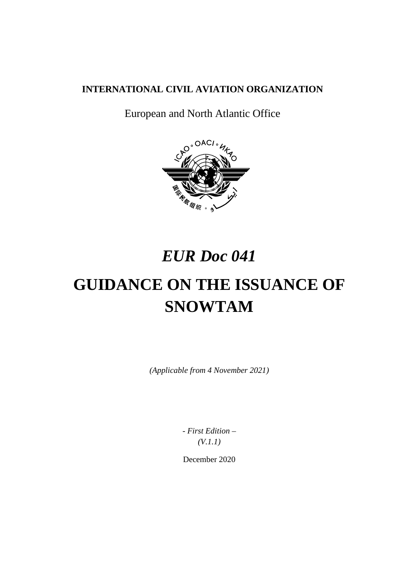## **INTERNATIONAL CIVIL AVIATION ORGANIZATION**

European and North Atlantic Office



## *EUR Doc 041*

# **GUIDANCE ON THE ISSUANCE OF SNOWTAM**

*(Applicable from 4 November 2021)*

*- First Edition – (V.1.1)*

December 2020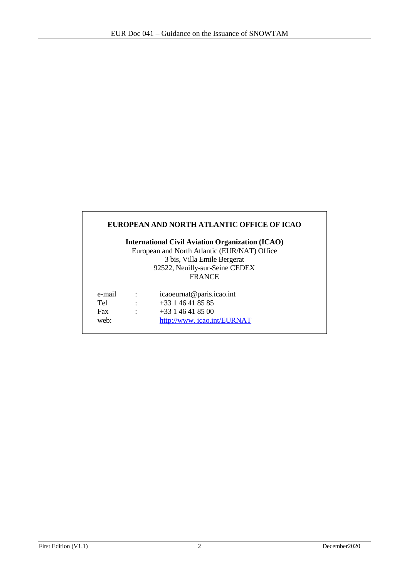|                                              |                      | EUROPEAN AND NORTH ATLANTIC OFFICE OF ICAO              |  |  |  |
|----------------------------------------------|----------------------|---------------------------------------------------------|--|--|--|
|                                              |                      | <b>International Civil Aviation Organization (ICAO)</b> |  |  |  |
| European and North Atlantic (EUR/NAT) Office |                      |                                                         |  |  |  |
|                                              |                      | 3 bis, Villa Emile Bergerat                             |  |  |  |
|                                              |                      | 92522, Neuilly-sur-Seine CEDEX                          |  |  |  |
|                                              |                      | <b>FRANCE</b>                                           |  |  |  |
| e-mail                                       |                      | icaoeurnat@paris.icao.int                               |  |  |  |
| Tel                                          |                      | $+33146418585$                                          |  |  |  |
| Fax                                          | $\ddot{\phantom{a}}$ | $+33146418500$                                          |  |  |  |
| web:                                         |                      | http://www.icao.int/EURNAT                              |  |  |  |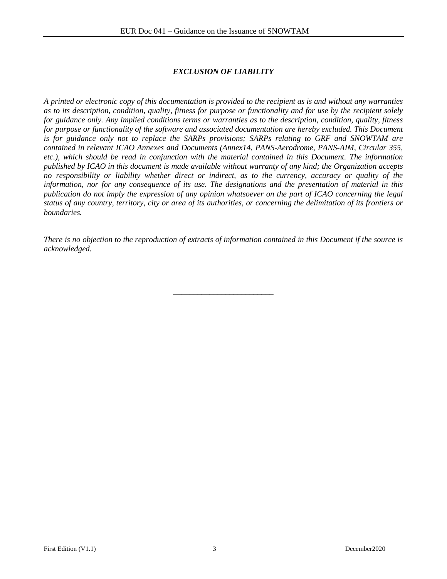## *EXCLUSION OF LIABILITY*

<span id="page-2-0"></span>*A printed or electronic copy of this documentation is provided to the recipient as is and without any warranties as to its description, condition, quality, fitness for purpose or functionality and for use by the recipient solely for guidance only. Any implied conditions terms or warranties as to the description, condition, quality, fitness for purpose or functionality of the software and associated documentation are hereby excluded. This Document is for guidance only not to replace the SARPs provisions; SARPs relating to GRF and SNOWTAM are contained in relevant ICAO Annexes and Documents (Annex14, PANS-Aerodrome, PANS-AIM, Circular 355, etc.), which should be read in conjunction with the material contained in this Document. The information published by ICAO in this document is made available without warranty of any kind; the Organization accepts no responsibility or liability whether direct or indirect, as to the currency, accuracy or quality of the information, nor for any consequence of its use. The designations and the presentation of material in this publication do not imply the expression of any opinion whatsoever on the part of ICAO concerning the legal status of any country, territory, city or area of its authorities, or concerning the delimitation of its frontiers or boundaries.*

*There is no objection to the reproduction of extracts of information contained in this Document if the source is acknowledged.*

\_\_\_\_\_\_\_\_\_\_\_\_\_\_\_\_\_\_\_\_\_\_\_\_\_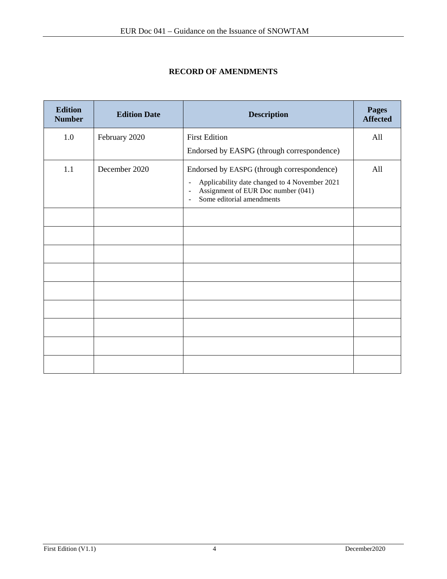## **RECORD OF AMENDMENTS**

| <b>Edition</b><br><b>Number</b> | <b>Edition Date</b> | <b>Description</b>                                                                                                                                                                                             | <b>Pages</b><br><b>Affected</b> |
|---------------------------------|---------------------|----------------------------------------------------------------------------------------------------------------------------------------------------------------------------------------------------------------|---------------------------------|
| 1.0                             | February 2020       | <b>First Edition</b>                                                                                                                                                                                           | All                             |
|                                 |                     | Endorsed by EASPG (through correspondence)                                                                                                                                                                     |                                 |
| 1.1                             | December 2020       | Endorsed by EASPG (through correspondence)<br>Applicability date changed to 4 November 2021<br>$\overline{\phantom{a}}$<br>Assignment of EUR Doc number (041)<br>$\sim$<br>Some editorial amendments<br>$\sim$ | All                             |
|                                 |                     |                                                                                                                                                                                                                |                                 |
|                                 |                     |                                                                                                                                                                                                                |                                 |
|                                 |                     |                                                                                                                                                                                                                |                                 |
|                                 |                     |                                                                                                                                                                                                                |                                 |
|                                 |                     |                                                                                                                                                                                                                |                                 |
|                                 |                     |                                                                                                                                                                                                                |                                 |
|                                 |                     |                                                                                                                                                                                                                |                                 |
|                                 |                     |                                                                                                                                                                                                                |                                 |
|                                 |                     |                                                                                                                                                                                                                |                                 |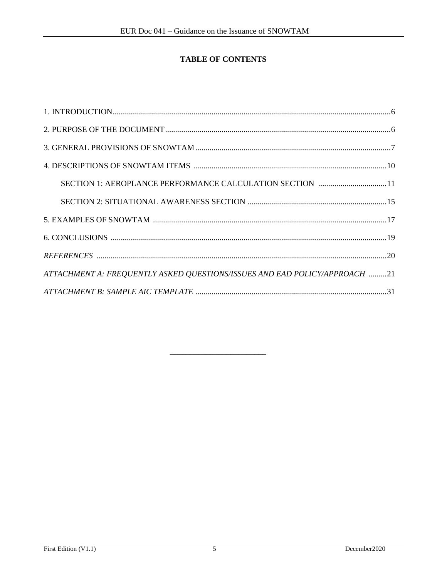## TABLE OF CONTENTS

| SECTION 1: AEROPLANCE PERFORMANCE CALCULATION SECTION 11                   |
|----------------------------------------------------------------------------|
|                                                                            |
|                                                                            |
|                                                                            |
|                                                                            |
| ATTACHMENT A: FREQUENTLY ASKED QUESTIONS/ISSUES AND EAD POLICY/APPROACH 21 |
|                                                                            |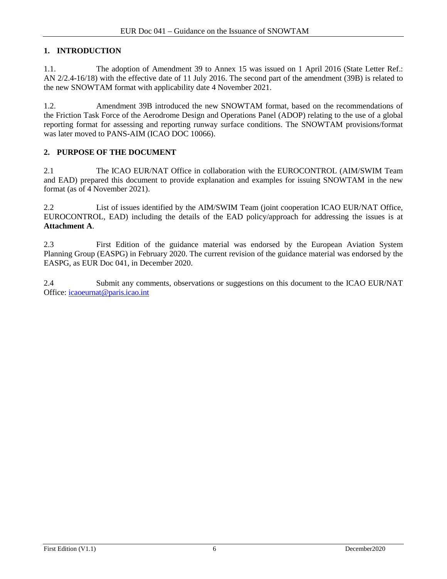## **1. INTRODUCTION**

1.1. The adoption of Amendment 39 to Annex 15 was issued on 1 April 2016 (State Letter Ref.: AN 2/2.4-16/18) with the effective date of 11 July 2016. The second part of the amendment (39B) is related to the new SNOWTAM format with applicability date 4 November 2021.

1.2. Amendment 39B introduced the new SNOWTAM format, based on the recommendations of the Friction Task Force of the Aerodrome Design and Operations Panel (ADOP) relating to the use of a global reporting format for assessing and reporting runway surface conditions. The SNOWTAM provisions/format was later moved to PANS-AIM (ICAO DOC 10066).

## **2. PURPOSE OF THE DOCUMENT**

2.1 The ICAO EUR/NAT Office in collaboration with the EUROCONTROL (AIM/SWIM Team and EAD) prepared this document to provide explanation and examples for issuing SNOWTAM in the new format (as of 4 November 2021).

2.2 List of issues identified by the AIM/SWIM Team (joint cooperation ICAO EUR/NAT Office, EUROCONTROL, EAD) including the details of the EAD policy/approach for addressing the issues is at **Attachment A**.

2.3 First Edition of the guidance material was endorsed by the European Aviation System Planning Group (EASPG) in February 2020. The current revision of the guidance material was endorsed by the EASPG, as EUR Doc 041, in December 2020.

2.4 Submit any comments, observations or suggestions on this document to the ICAO EUR/NAT Office: [icaoeurnat@paris.icao.int](mailto:icaoeurnat@paris.icao.int)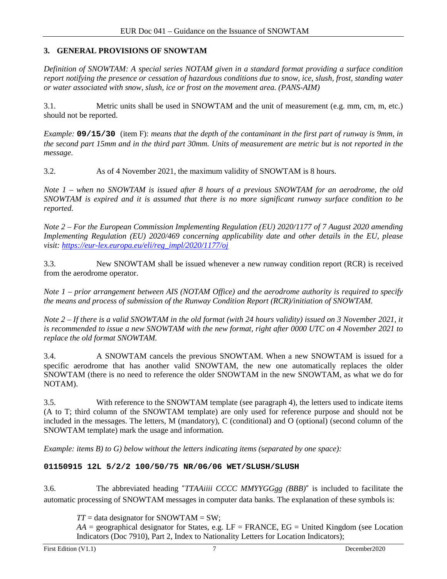## **3. GENERAL PROVISIONS OF SNOWTAM**

*Definition of SNOWTAM: A special series NOTAM given in a standard format providing a surface condition report notifying the presence or cessation of hazardous conditions due to snow, ice, slush, frost, standing water or water associated with snow, slush, ice or frost on the movement area. (PANS-AIM)*

3.1. Metric units shall be used in SNOWTAM and the unit of measurement (e.g. mm, cm, m, etc.) should not be reported.

*Example:* **09/15/30** (item F): *means that the depth of the contaminant in the first part of runway is 9mm, in the second part 15mm and in the third part 30mm. Units of measurement are metric but is not reported in the message.*

3.2. As of 4 November 2021, the maximum validity of SNOWTAM is 8 hours.

*Note 1 – when no SNOWTAM is issued after 8 hours of a previous SNOWTAM for an aerodrome, the old SNOWTAM is expired and it is assumed that there is no more significant runway surface condition to be reported.*

*Note 2 – For the European Commission Implementing Regulation (EU) 2020/1177 of 7 August 2020 amending Implementing Regulation (EU) 2020/469 concerning applicability date and other details in the EU, please visit[: https://eur-lex.europa.eu/eli/reg\\_impl/2020/1177/oj](https://eur-lex.europa.eu/eli/reg_impl/2020/1177/oj)*

3.3. New SNOWTAM shall be issued whenever a new runway condition report (RCR) is received from the aerodrome operator.

*Note 1 – prior arrangement between AIS (NOTAM Office) and the aerodrome authority is required to specify the means and process of submission of the Runway Condition Report (RCR)/initiation of SNOWTAM.*

*Note 2 – If there is a valid SNOWTAM in the old format (with 24 hours validity) issued on 3 November 2021, it is recommended to issue a new SNOWTAM with the new format, right after 0000 UTC on 4 November 2021 to replace the old format SNOWTAM.*

3.4. A SNOWTAM cancels the previous SNOWTAM. When a new SNOWTAM is issued for a specific aerodrome that has another valid SNOWTAM, the new one automatically replaces the older SNOWTAM (there is no need to reference the older SNOWTAM in the new SNOWTAM, as what we do for NOTAM).

3.5. With reference to the SNOWTAM template (see paragraph 4), the letters used to indicate items (A to T; third column of the SNOWTAM template) are only used for reference purpose and should not be included in the messages. The letters, M (mandatory), C (conditional) and O (optional) (second column of the SNOWTAM template) mark the usage and information.

*Example: items B) to G) below without the letters indicating items (separated by one space):*

#### **01150915 12L 5/2/2 100/50/75 NR/06/06 WET/SLUSH/SLUSH**

3.6. The abbreviated heading "*TTAAiiii CCCC MMYYGGgg (BBB)*" is included to facilitate the automatic processing of SNOWTAM messages in computer data banks. The explanation of these symbols is:

 $TT =$  data designator for SNOWTAM = SW;

 $AA =$  geographical designator for States, e.g.  $LF = FRANCE$ ,  $EG =$  United Kingdom (see Location Indicators (Doc 7910), Part 2, Index to Nationality Letters for Location Indicators);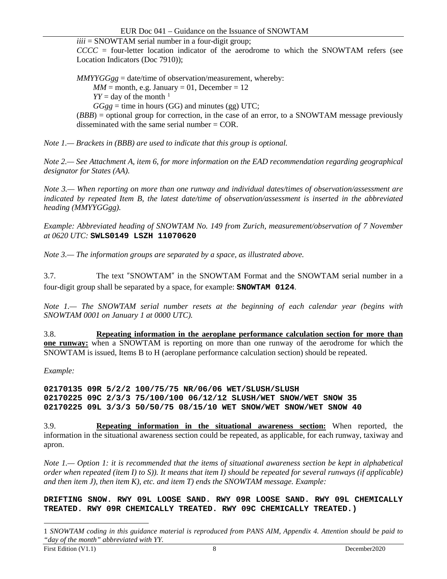$iiii =$  SNOWTAM serial number in a four-digit group;

*CCCC* = four-letter location indicator of the aerodrome to which the SNOWTAM refers (see Location Indicators (Doc 7910));

*MMYYGGgg* = date/time of observation/measurement, whereby:  $MM =$  month, e.g. January = 01, December = 12  $YY =$  day of the month <sup>[1](#page-7-0)</sup>  $GGgg =$  time in hours (GG) and minutes (gg) UTC; (*BBB*) = optional group for correction, in the case of an error, to a SNOWTAM message previously disseminated with the same serial number = COR.

*Note 1.— Brackets in (BBB) are used to indicate that this group is optional.*

*Note 2.— See Attachment A, item 6, for more information on the EAD recommendation regarding geographical designator for States (AA).*

*Note 3.— When reporting on more than one runway and individual dates/times of observation/assessment are indicated by repeated Item B, the latest date/time of observation/assessment is inserted in the abbreviated heading (MMYYGGgg).*

*Example: Abbreviated heading of SNOWTAM No. 149 from Zurich, measurement/observation of 7 November at 0620 UTC:* **SWLS0149 LSZH 11070620**

*Note 3.— The information groups are separated by a space, as illustrated above.*

3.7. The text "SNOWTAM" in the SNOWTAM Format and the SNOWTAM serial number in a four-digit group shall be separated by a space, for example: **SNOWTAM 0124**.

*Note 1.— The SNOWTAM serial number resets at the beginning of each calendar year (begins with SNOWTAM 0001 on January 1 at 0000 UTC).*

3.8. **Repeating information in the aeroplane performance calculation section for more than one runway:** when a SNOWTAM is reporting on more than one runway of the aerodrome for which the SNOWTAM is issued, Items B to H (aeroplane performance calculation section) should be repeated.

#### *Example:*

**02170135 09R 5/2/2 100/75/75 NR/06/06 WET/SLUSH/SLUSH 02170225 09C 2/3/3 75/100/100 06/12/12 SLUSH/WET SNOW/WET SNOW 35 02170225 09L 3/3/3 50/50/75 08/15/10 WET SNOW/WET SNOW/WET SNOW 40**

3.9. **Repeating information in the situational awareness section:** When reported, the information in the situational awareness section could be repeated, as applicable, for each runway, taxiway and apron.

*Note 1.— Option 1: it is recommended that the items of situational awareness section be kept in alphabetical order when repeated (item I) to S)). It means that item I) should be repeated for several runways (if applicable) and then item J), then item K), etc. and item T) ends the SNOWTAM message. Example:*

**DRIFTING SNOW. RWY 09L LOOSE SAND. RWY 09R LOOSE SAND. RWY 09L CHEMICALLY TREATED. RWY 09R CHEMICALLY TREATED. RWY 09C CHEMICALLY TREATED.)**

 $\overline{\phantom{a}}$ 

<span id="page-7-0"></span><sup>1</sup> *SNOWTAM coding in this guidance material is reproduced from PANS AIM, Appendix 4. Attention should be paid to "day of the month" abbreviated with YY.*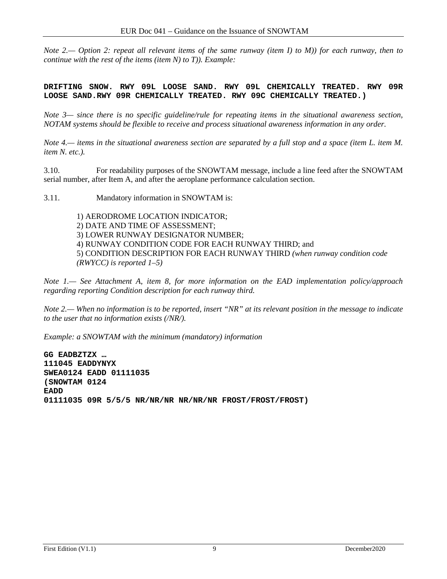*Note 2.— Option 2: repeat all relevant items of the same runway (item I) to M)) for each runway, then to continue with the rest of the items (item N) to T)). Example:*

**DRIFTING SNOW. RWY 09L LOOSE SAND. RWY 09L CHEMICALLY TREATED. RWY 09R LOOSE SAND.RWY 09R CHEMICALLY TREATED. RWY 09C CHEMICALLY TREATED.)**

*Note 3— since there is no specific guideline/rule for repeating items in the situational awareness section, NOTAM systems should be flexible to receive and process situational awareness information in any order.*

*Note 4.— items in the situational awareness section are separated by a full stop and a space (item L. item M. item N. etc.).*

3.10. For readability purposes of the SNOWTAM message, include a line feed after the SNOWTAM serial number, after Item A, and after the aeroplane performance calculation section.

3.11. Mandatory information in SNOWTAM is:

1) AERODROME LOCATION INDICATOR; 2) DATE AND TIME OF ASSESSMENT; 3) LOWER RUNWAY DESIGNATOR NUMBER; 4) RUNWAY CONDITION CODE FOR EACH RUNWAY THIRD; and 5) CONDITION DESCRIPTION FOR EACH RUNWAY THIRD *(when runway condition code (RWYCC) is reported 1–5)*

*Note 1.— See Attachment A, item 8, for more information on the EAD implementation policy/approach regarding reporting Condition description for each runway third.*

*Note 2.— When no information is to be reported, insert "NR" at its relevant position in the message to indicate to the user that no information exists (/NR/).*

*Example: a SNOWTAM with the minimum (mandatory) information*

**GG EADBZTZX … 111045 EADDYNYX SWEA0124 EADD 01111035 (SNOWTAM 0124 EADD 01111035 09R 5/5/5 NR/NR/NR NR/NR/NR FROST/FROST/FROST)**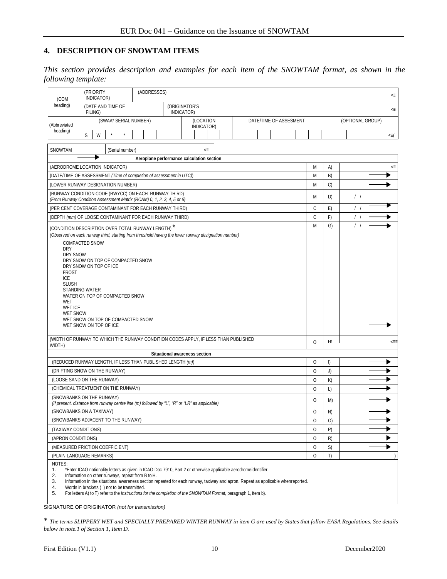#### **4. DESCRIPTION OF SNOWTAM ITEMS**

*This section provides description and examples for each item of the SNOWTAM format, as shown in the following template:*

| (COM                                                                                                                                                     | (PRIORITY<br>INDICATOR)                                                                                                                                                                                                                                                                                                                                                                                                                                                                                                       | (ADDRESSES) |                                           |  |  |  |  |                  |          |    |                  |  | <≡  |
|----------------------------------------------------------------------------------------------------------------------------------------------------------|-------------------------------------------------------------------------------------------------------------------------------------------------------------------------------------------------------------------------------------------------------------------------------------------------------------------------------------------------------------------------------------------------------------------------------------------------------------------------------------------------------------------------------|-------------|-------------------------------------------|--|--|--|--|------------------|----------|----|------------------|--|-----|
| heading)                                                                                                                                                 | (DATE AND TIME OF<br>(ORIGINATOR'S<br>INDICATOR)<br>FILING)                                                                                                                                                                                                                                                                                                                                                                                                                                                                   |             |                                           |  |  |  |  |                  |          |    | <≡               |  |     |
| (Abbreviated                                                                                                                                             | (SWAA* SERIAL NUMBER)<br>(LOCATION<br>DATE/TIME OF ASSESMENT<br>INDICATOR)                                                                                                                                                                                                                                                                                                                                                                                                                                                    |             |                                           |  |  |  |  | (OPTIONAL GROUP) |          |    |                  |  |     |
| heading)                                                                                                                                                 | S<br>W                                                                                                                                                                                                                                                                                                                                                                                                                                                                                                                        |             |                                           |  |  |  |  |                  |          |    |                  |  | <≡( |
| SNOWTAM                                                                                                                                                  | (Serial number)                                                                                                                                                                                                                                                                                                                                                                                                                                                                                                               |             | <≡                                        |  |  |  |  |                  |          |    |                  |  |     |
|                                                                                                                                                          |                                                                                                                                                                                                                                                                                                                                                                                                                                                                                                                               |             | Aeroplane performance calculation section |  |  |  |  |                  |          |    |                  |  |     |
|                                                                                                                                                          | (AERODROME LOCATION INDICATOR)                                                                                                                                                                                                                                                                                                                                                                                                                                                                                                |             |                                           |  |  |  |  |                  | M        | A) |                  |  | <≡  |
|                                                                                                                                                          | (DATE/TIME OF ASSESSMENT (Time of completion of assessment in UTC))                                                                                                                                                                                                                                                                                                                                                                                                                                                           |             |                                           |  |  |  |  |                  | M        | B) |                  |  |     |
|                                                                                                                                                          | (LOWER RUNWAY DESIGNATION NUMBER)                                                                                                                                                                                                                                                                                                                                                                                                                                                                                             |             |                                           |  |  |  |  |                  | M        | C) |                  |  |     |
|                                                                                                                                                          | (RUNWAY CONDITION CODE (RWYCC) ON EACH RUNWAY THIRD)<br>(From Runway Condition Assessment Matrix (RCAM) 0, 1, 2, 3, 4, 5 or 6)                                                                                                                                                                                                                                                                                                                                                                                                |             |                                           |  |  |  |  |                  | M        | D) | $\left  \right $ |  |     |
|                                                                                                                                                          | (PER CENT COVERAGE CONTAMINANT FOR EACH RUNWAY THIRD)                                                                                                                                                                                                                                                                                                                                                                                                                                                                         |             |                                           |  |  |  |  |                  | C        | E) | $\left  \right $ |  |     |
|                                                                                                                                                          |                                                                                                                                                                                                                                                                                                                                                                                                                                                                                                                               |             |                                           |  |  |  |  |                  | C        | F) | $\left  \right $ |  |     |
| <b>DRY</b><br><b>FROST</b><br>ICE<br><b>SLUSH</b><br>WET<br>(WIDTH OF RUNWAY TO WHICH THE RUNWAY CONDITION CODES APPLY, IF LESS THAN PUBLISHED<br>WIDTH) | (DEPTH (mm) OF LOOSE CONTAMINANT FOR EACH RUNWAY THIRD)<br>M<br>G)<br>(CONDITION DESCRIPTION OVER TOTAL RUNWAY LENGTH) <sup>*</sup><br>(Observed on each runway third, starting from threshold having the lower runway designation number)<br>COMPACTED SNOW<br>DRY SNOW<br>DRY SNOW ON TOP OF COMPACTED SNOW<br>DRY SNOW ON TOP OF ICE<br>STANDING WATER<br>WATER ON TOP OF COMPACTED SNOW<br><b>WET ICE</b><br><b>WET SNOW</b><br>WET SNOW ON TOP OF COMPACTED SNOW<br>WET SNOW ON TOP OF ICE                               |             |                                           |  |  |  |  | <≡≡              |          |    |                  |  |     |
|                                                                                                                                                          |                                                                                                                                                                                                                                                                                                                                                                                                                                                                                                                               |             | Situational awareness section             |  |  |  |  |                  |          |    |                  |  |     |
|                                                                                                                                                          | (REDUCED RUNWAY LENGTH, IF LESS THAN PUBLISHED LENGTH (m))                                                                                                                                                                                                                                                                                                                                                                                                                                                                    |             |                                           |  |  |  |  |                  | $\circ$  | I) |                  |  |     |
|                                                                                                                                                          | (DRIFTING SNOW ON THE RUNWAY)                                                                                                                                                                                                                                                                                                                                                                                                                                                                                                 |             |                                           |  |  |  |  |                  | $\circ$  | J) |                  |  |     |
|                                                                                                                                                          | (LOOSE SAND ON THE RUNWAY)                                                                                                                                                                                                                                                                                                                                                                                                                                                                                                    |             |                                           |  |  |  |  |                  | $\circ$  | K) |                  |  |     |
|                                                                                                                                                          | (CHEMICAL TREATMENT ON THE RUNWAY)                                                                                                                                                                                                                                                                                                                                                                                                                                                                                            |             |                                           |  |  |  |  |                  | $\circ$  | L) |                  |  |     |
|                                                                                                                                                          | (SNOWBANKS ON THE RUNWAY)<br>(If present, distance from runway centre line (m) followed by "L", "R" or "LR" as applicable)                                                                                                                                                                                                                                                                                                                                                                                                    |             |                                           |  |  |  |  |                  | $\circ$  | M) |                  |  |     |
|                                                                                                                                                          | (SNOWBANKS ON A TAXIWAY)                                                                                                                                                                                                                                                                                                                                                                                                                                                                                                      |             |                                           |  |  |  |  |                  | $\Omega$ | N) |                  |  |     |
|                                                                                                                                                          | (SNOWBANKS ADJACENT TO THE RUNWAY)                                                                                                                                                                                                                                                                                                                                                                                                                                                                                            |             |                                           |  |  |  |  |                  | O        | O) |                  |  |     |
| (TAXIWAY CONDITIONS)                                                                                                                                     |                                                                                                                                                                                                                                                                                                                                                                                                                                                                                                                               |             |                                           |  |  |  |  |                  | $\circ$  | P) |                  |  |     |
| (APRON CONDITIONS)                                                                                                                                       |                                                                                                                                                                                                                                                                                                                                                                                                                                                                                                                               |             |                                           |  |  |  |  |                  | $\circ$  | R) |                  |  |     |
|                                                                                                                                                          | (MEASURED FRICTION COEFFICIENT)                                                                                                                                                                                                                                                                                                                                                                                                                                                                                               |             |                                           |  |  |  |  |                  | 0        | S) |                  |  |     |
| NOTES:<br>1.<br>2.<br>3.<br>4.<br>5.                                                                                                                     | (PLAIN-LANGUAGE REMARKS)<br>$\circ$<br>T)<br>*Enter ICAO nationality letters as given in ICAO Doc 7910, Part 2 or otherwise applicable aerodromeidentifier.<br>Information on other runways, repeat from B to H.<br>Information in the situational awareness section repeated for each runway, taxiway and apron. Repeat as applicable whenreported.<br>Words in brackets () not to be transmitted.<br>For letters A) to T) refer to the <i>Instructions for the completion of the SNOWTAM Format</i> , paragraph 1, item b). |             |                                           |  |  |  |  |                  |          |    |                  |  |     |

SIGNATURE OF ORIGINATOR *(not for transmission)*

\* *The terms SLIPPERY WET and SPECIALLY PREPARED WINTER RUNWAY in item G are used by States that follow EASA Regulations. See details below in note.1 of Section 1, Item D.*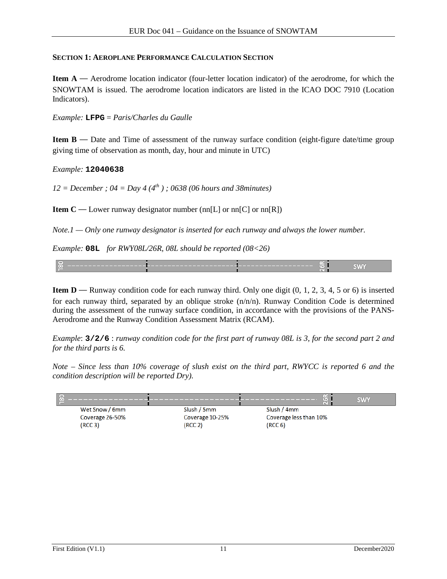#### **SECTION 1: AEROPLANE PERFORMANCE CALCULATION SECTION**

**Item A** — Aerodrome location indicator (four-letter location indicator) of the aerodrome, for which the SNOWTAM is issued. The aerodrome location indicators are listed in the ICAO DOC 7910 (Location Indicators).

*Example:* **LFPG** = *Paris/Charles du Gaulle*

**Item B** — Date and Time of assessment of the runway surface condition (eight-figure date/time group giving time of observation as month, day, hour and minute in UTC)

*Example:* **12040638**

*12 = December ; 04 = Day 4 (4th ) ; 0638 (06 hours and 38minutes)*

**Item C** — Lower runway designator number  $(nn[L]$  or  $nn[C]$  or  $nn[R])$ 

*Note.1 — Only one runway designator is inserted for each runway and always the lower number.*

*Example:* **08L** *for RWY08L/26R, 08L should be reported (08<26)*



**Item D** — Runway condition code for each runway third. Only one digit  $(0, 1, 2, 3, 4, 5, 6)$  is inserted for each runway third, separated by an oblique stroke  $(n/n/n)$ . Runway Condition Code is determined during the assessment of the runway surface condition, in accordance with the provisions of the PANS-Aerodrome and the Runway Condition Assessment Matrix (RCAM).

*Example*: **3/2/6** : *runway condition code for the first part of runway 08L is 3, for the second part 2 and for the third parts is 6.*

*Note – Since less than 10% coverage of slush exist on the third part, RWYCC is reported 6 and the condition description will be reported Dry).*

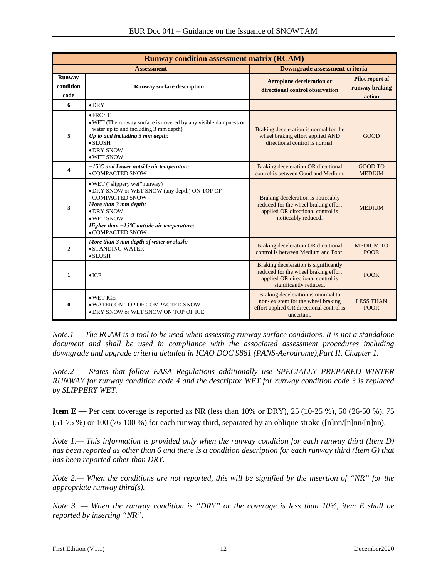| <b>Runway condition assessment matrix (RCAM)</b> |                                                                                                                                                                                                                                                         |                                                                                                                                              |                                             |  |  |  |
|--------------------------------------------------|---------------------------------------------------------------------------------------------------------------------------------------------------------------------------------------------------------------------------------------------------------|----------------------------------------------------------------------------------------------------------------------------------------------|---------------------------------------------|--|--|--|
|                                                  | <b>Assessment</b>                                                                                                                                                                                                                                       | Downgrade assessment criteria                                                                                                                |                                             |  |  |  |
| <b>Runway</b><br>condition<br>code               | <b>Runway surface description</b>                                                                                                                                                                                                                       | <b>Aeroplane deceleration or</b><br>directional control observation                                                                          | Pilot report of<br>runway braking<br>action |  |  |  |
| 6                                                | $\bullet$ DRY                                                                                                                                                                                                                                           | $- - -$                                                                                                                                      |                                             |  |  |  |
| 5                                                | $\bullet$ FROST<br>• WET (The runway surface is covered by any visible dampness or<br>water up to and including 3 mm depth)<br>Up to and including 3 mm depth:<br>$\bullet$ SLUSH<br>$\bullet$ DRY SNOW<br>• WET SNOW                                   | Braking deceleration is normal for the<br>wheel braking effort applied AND<br>directional control is normal.                                 | <b>GOOD</b>                                 |  |  |  |
| $\overline{\mathbf{4}}$                          | $-15^{\circ}$ C and Lower outside air temperature:<br>• COMPACTED SNOW                                                                                                                                                                                  | Braking deceleration OR directional<br>control is between Good and Medium.                                                                   | <b>GOOD TO</b><br><b>MEDIUM</b>             |  |  |  |
| 3                                                | • WET ("slippery wet" runway)<br>• DRY SNOW or WET SNOW (any depth) ON TOP OF<br><b>COMPACTED SNOW</b><br>More than 3 mm depth:<br>• DRY SNOW<br>$\bullet$ WET SNOW<br>Higher than $-15^{\circ}$ C outside air temperature:<br>$\bullet$ COMPACTED SNOW | Braking deceleration is noticeably<br>reduced for the wheel braking effort<br>applied OR directional control is<br>noticeably reduced.       | <b>MEDIUM</b>                               |  |  |  |
| $\mathbf{2}$                                     | More than 3 mm depth of water or slush:<br>• STANDING WATER<br>$\bullet$ SLUSH                                                                                                                                                                          | Braking deceleration OR directional<br>control is between Medium and Poor.                                                                   | <b>MEDIUM TO</b><br><b>POOR</b>             |  |  |  |
| 1                                                | $\bullet$ ICE                                                                                                                                                                                                                                           | Braking deceleration is significantly<br>reduced for the wheel braking effort<br>applied OR directional control is<br>significantly reduced. | <b>POOR</b>                                 |  |  |  |
| $\bf{0}$                                         | $\bullet$ WET ICE<br>. WATER ON TOP OF COMPACTED SNOW<br>• DRY SNOW or WET SNOW ON TOP OF ICE                                                                                                                                                           | Braking deceleration is minimal to<br>non-existent for the wheel braking<br>effort applied OR directional control is<br>uncertain.           | <b>LESS THAN</b><br><b>POOR</b>             |  |  |  |

*Note.1 — The RCAM is a tool to be used when assessing runway surface conditions. It is not a standalone document and shall be used in compliance with the associated assessment procedures including downgrade and upgrade criteria detailed in ICAO DOC 9881 (PANS-Aerodrome),Part II, Chapter 1.*

*Note.2 — States that follow EASA Regulations additionally use SPECIALLY PREPARED WINTER RUNWAY for runway condition code 4 and the descriptor WET for runway condition code 3 is replaced by SLIPPERY WET.*

**Item E** — Per cent coverage is reported as NR (less than 10% or DRY), 25 (10-25 %), 50 (26-50 %), 75  $(51-75%)$  or 100 (76-100 %) for each runway third, separated by an oblique stroke ( $\lceil n \rceil \cdot \lceil n \rceil \cdot \lceil n \rceil$ ).

*Note 1.— This information is provided only when the runway condition for each runway third (Item D) has been reported as other than 6 and there is a condition description for each runway third (Item G) that has been reported other than DRY.*

*Note 2.— When the conditions are not reported, this will be signified by the insertion of "NR" for the appropriate runway third(s).*

*Note 3. — When the runway condition is "DRY" or the coverage is less than 10%, item E shall be reported by inserting "NR".*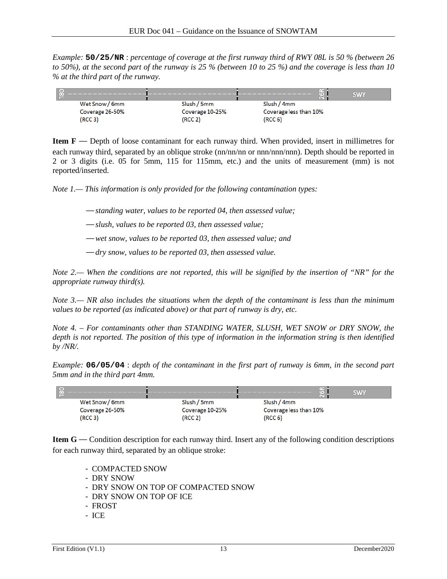*Example:* **50/25/NR** : *percentage of coverage at the first runway third of RWY 08L is 50 % (between 26 to 50%), at the second part of the runway is 25 % (between 10 to 25 %) and the coverage is less than 10 % at the third part of the runway.*



**Item F** — Depth of loose contaminant for each runway third. When provided, insert in millimetres for each runway third, separated by an oblique stroke (nn/nn/nn or nnn/nnn/nnn). Depth should be reported in 2 or 3 digits (i.e. 05 for 5mm, 115 for 115mm, etc.) and the units of measurement (mm) is not reported/inserted.

*Note 1.— This information is only provided for the following contamination types:*

— *standing water, values to be reported 04, then assessed value;*

— *slush, values to be reported 03, then assessed value;*

— *wet snow, values to be reported 03, then assessed value; and*

— *dry snow, values to be reported 03, then assessed value.*

*Note 2.— When the conditions are not reported, this will be signified by the insertion of "NR" for the appropriate runway third(s).*

*Note 3.— NR also includes the situations when the depth of the contaminant is less than the minimum values to be reported (as indicated above) or that part of runway is dry, etc.*

*Note 4. – For contaminants other than STANDING WATER, SLUSH, WET SNOW or DRY SNOW, the depth is not reported. The position of this type of information in the information string is then identified by /NR/.*

*Example:* **06/05/04** : *depth of the contaminant in the first part of runway is 6mm, in the second part 5mm and in the third part 4mm.*



**Item G** — Condition description for each runway third. Insert any of the following condition descriptions for each runway third, separated by an oblique stroke:

- COMPACTED SNOW
- DRY SNOW
- DRY SNOW ON TOP OF COMPACTED SNOW
- DRY SNOW ON TOP OF ICE
- FROST
- ICE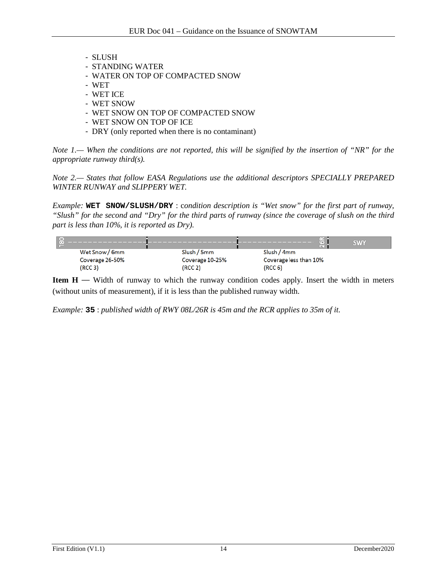- SLUSH
- STANDING WATER
- WATER ON TOP OF COMPACTED SNOW
- WET
- WET ICE
- WET SNOW
- WET SNOW ON TOP OF COMPACTED SNOW
- WET SNOW ON TOP OF ICE
- DRY (only reported when there is no contaminant)

*Note 1.— When the conditions are not reported, this will be signified by the insertion of "NR" for the appropriate runway third(s).*

*Note 2.— States that follow EASA Regulations use the additional descriptors SPECIALLY PREPARED WINTER RUNWAY and SLIPPERY WET.*

*Example:* **WET SNOW/SLUSH/DRY** : c*ondition description is "Wet snow" for the first part of runway, "Slush" for the second and "Dry" for the third parts of runway (since the coverage of slush on the third part is less than 10%, it is reported as Dry).*



**Item H** — Width of runway to which the runway condition codes apply. Insert the width in meters (without units of measurement), if it is less than the published runway width.

*Example:* **35** : *published width of RWY 08L/26R is 45m and the RCR applies to 35m of it.*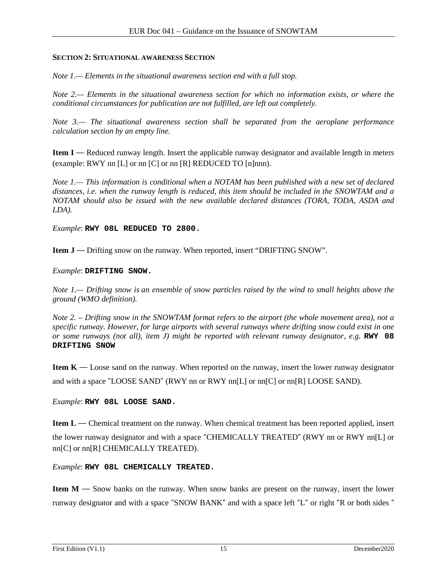#### **SECTION 2: SITUATIONAL AWARENESS SECTION**

*Note 1.— Elements in the situational awareness section end with a full stop.*

*Note 2.— Elements in the situational awareness section for which no information exists, or where the conditional circumstances for publication are not fulfilled, are left out completely.*

*Note 3.— The situational awareness section shall be separated from the aeroplane performance calculation section by an empty line.*

**Item I** — Reduced runway length. Insert the applicable runway designator and available length in meters (example: RWY nn [L] or nn [C] or nn [R] REDUCED TO [n]nnn).

*Note 1.— This information is conditional when a NOTAM has been published with a new set of declared distances, i.e. when the runway length is reduced, this item should be included in the SNOWTAM and a NOTAM should also be issued with the new available declared distances (TORA, TODA, ASDA and LDA).*

*Example*: **RWY 08L REDUCED TO 2800.**

**Item J** — Drifting snow on the runway. When reported, insert "DRIFTING SNOW".

#### *Example*: **DRIFTING SNOW.**

*Note 1.— Drifting snow is an ensemble of snow particles raised by the wind to small heights above the ground (WMO definition).* 

*Note 2. – Drifting snow in the SNOWTAM format refers to the airport (the whole movement area), not a specific runway. However, for large airports with several runways where drifting snow could exist in one or some runways (not all), item J) might be reported with relevant runway designator, e.g. RWY 08* **DRIFTING SNOW**

**Item K** — Loose sand on the runway. When reported on the runway, insert the lower runway designator and with a space "LOOSE SAND" (RWY nn or RWY nn[L] or nn[C] or nn[R] LOOSE SAND).

*Example*: **RWY 08L LOOSE SAND.**

**Item L** — Chemical treatment on the runway. When chemical treatment has been reported applied, insert the lower runway designator and with a space "CHEMICALLY TREATED" (RWY nn or RWY nn[L] or nn[C] or nn[R] CHEMICALLY TREATED).

*Example*: **RWY 08L CHEMICALLY TREATED.**

**Item M** — Snow banks on the runway. When snow banks are present on the runway, insert the lower runway designator and with a space "SNOW BANK" and with a space left "L" or right "R or both sides "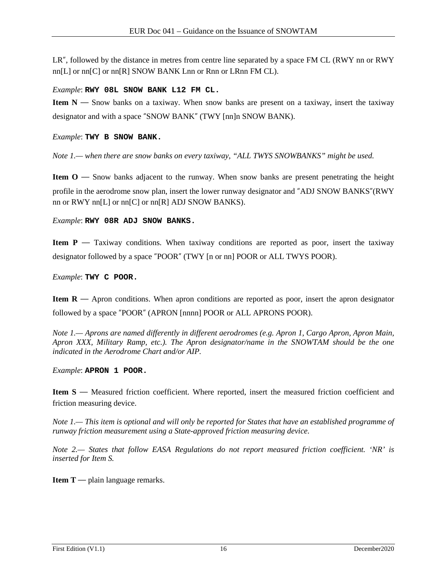LR", followed by the distance in metres from centre line separated by a space FM CL (RWY nn or RWY  $nn[L]$  or  $nn[C]$  or  $nn[R]$  SNOW BANK Lnn or Rnn or LRnn FM CL).

#### *Example*: **RWY 08L SNOW BANK L12 FM CL.**

**Item N** — Snow banks on a taxiway. When snow banks are present on a taxiway, insert the taxiway designator and with a space "SNOW BANK" (TWY [nn]n SNOW BANK).

*Example*: **TWY B SNOW BANK.**

*Note 1.— when there are snow banks on every taxiway, "ALL TWYS SNOWBANKS" might be used.*

**Item O** — Snow banks adjacent to the runway. When snow banks are present penetrating the height profile in the aerodrome snow plan, insert the lower runway designator and "ADJ SNOW BANKS"(RWY nn or RWY nn[L] or nn[C] or nn[R] ADJ SNOW BANKS).

*Example*: **RWY 08R ADJ SNOW BANKS.**

**Item P** — Taxiway conditions. When taxiway conditions are reported as poor, insert the taxiway designator followed by a space "POOR" (TWY [n or nn] POOR or ALL TWYS POOR).

*Example*: **TWY C POOR.**

**Item R** — Apron conditions. When apron conditions are reported as poor, insert the apron designator followed by a space "POOR" (APRON [nnnn] POOR or ALL APRONS POOR).

*Note 1.— Aprons are named differently in different aerodromes (e.g. Apron 1, Cargo Apron, Apron Main, Apron XXX, Military Ramp, etc.). The Apron designator/name in the SNOWTAM should be the one indicated in the Aerodrome Chart and/or AIP.*

*Example*: **APRON 1 POOR.**

**Item S** — Measured friction coefficient. Where reported, insert the measured friction coefficient and friction measuring device.

*Note 1.— This item is optional and will only be reported for States that have an established programme of runway friction measurement using a State-approved friction measuring device.*

*Note 2.— States that follow EASA Regulations do not report measured friction coefficient. 'NR' is inserted for Item S.*

**Item T** — plain language remarks.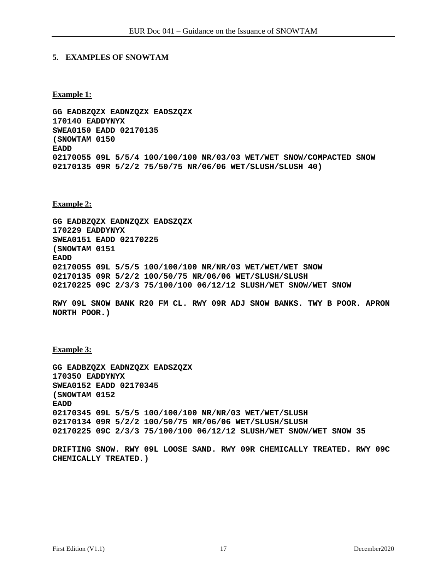#### **5. EXAMPLES OF SNOWTAM**

**Example 1:**

**GG EADBZQZX EADNZQZX EADSZQZX 170140 EADDYNYX SWEA0150 EADD 02170135 (SNOWTAM 0150 EADD 02170055 09L 5/5/4 100/100/100 NR/03/03 WET/WET SNOW/COMPACTED SNOW 02170135 09R 5/2/2 75/50/75 NR/06/06 WET/SLUSH/SLUSH 40)**

**Example 2:**

**GG EADBZQZX EADNZQZX EADSZQZX 170229 EADDYNYX SWEA0151 EADD 02170225 (SNOWTAM 0151 EADD 02170055 09L 5/5/5 100/100/100 NR/NR/03 WET/WET/WET SNOW 02170135 09R 5/2/2 100/50/75 NR/06/06 WET/SLUSH/SLUSH 02170225 09C 2/3/3 75/100/100 06/12/12 SLUSH/WET SNOW/WET SNOW**

**RWY 09L SNOW BANK R20 FM CL. RWY 09R ADJ SNOW BANKS. TWY B POOR. APRON NORTH POOR.)**

#### **Example 3:**

**GG EADBZQZX EADNZQZX EADSZQZX 170350 EADDYNYX SWEA0152 EADD 02170345 (SNOWTAM 0152 EADD 02170345 09L 5/5/5 100/100/100 NR/NR/03 WET/WET/SLUSH 02170134 09R 5/2/2 100/50/75 NR/06/06 WET/SLUSH/SLUSH 02170225 09C 2/3/3 75/100/100 06/12/12 SLUSH/WET SNOW/WET SNOW 35**

**DRIFTING SNOW. RWY 09L LOOSE SAND. RWY 09R CHEMICALLY TREATED. RWY 09C CHEMICALLY TREATED.)**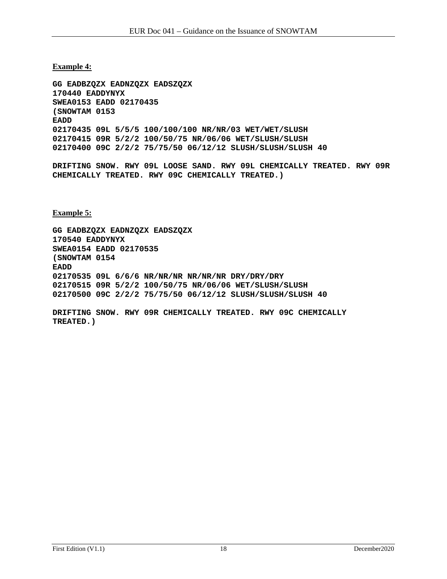**Example 4:**

**GG EADBZQZX EADNZQZX EADSZQZX 170440 EADDYNYX SWEA0153 EADD 02170435 (SNOWTAM 0153 EADD 02170435 09L 5/5/5 100/100/100 NR/NR/03 WET/WET/SLUSH 02170415 09R 5/2/2 100/50/75 NR/06/06 WET/SLUSH/SLUSH 02170400 09C 2/2/2 75/75/50 06/12/12 SLUSH/SLUSH/SLUSH 40**

**DRIFTING SNOW. RWY 09L LOOSE SAND. RWY 09L CHEMICALLY TREATED. RWY 09R CHEMICALLY TREATED. RWY 09C CHEMICALLY TREATED.)**

**Example 5:**

**GG EADBZQZX EADNZQZX EADSZQZX 170540 EADDYNYX SWEA0154 EADD 02170535 (SNOWTAM 0154 EADD 02170535 09L 6/6/6 NR/NR/NR NR/NR/NR DRY/DRY/DRY 02170515 09R 5/2/2 100/50/75 NR/06/06 WET/SLUSH/SLUSH 02170500 09C 2/2/2 75/75/50 06/12/12 SLUSH/SLUSH/SLUSH 40**

**DRIFTING SNOW. RWY 09R CHEMICALLY TREATED. RWY 09C CHEMICALLY TREATED.)**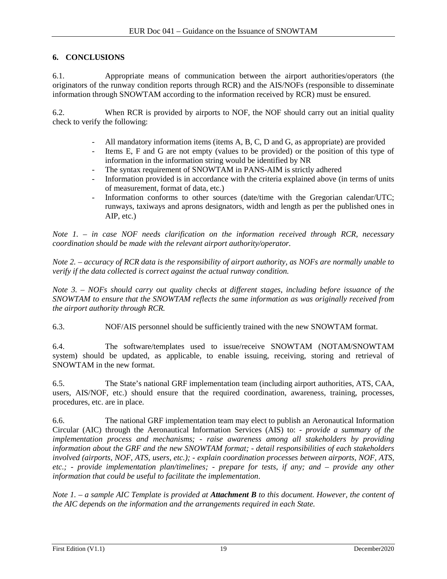## **6. CONCLUSIONS**

6.1. Appropriate means of communication between the airport authorities/operators (the originators of the runway condition reports through RCR) and the AIS/NOFs (responsible to disseminate information through SNOWTAM according to the information received by RCR) must be ensured.

6.2. When RCR is provided by airports to NOF, the NOF should carry out an initial quality check to verify the following:

- All mandatory information items (items A, B, C, D and G, as appropriate) are provided<br>- Items E. F and G are not empty (values to be provided) or the position of this type
- Items E, F and G are not empty (values to be provided) or the position of this type of information in the information string would be identified by NR
- The syntax requirement of SNOWTAM in PANS-AIM is strictly adhered
- Information provided is in accordance with the criteria explained above (in terms of units of measurement, format of data, etc.)
- Information conforms to other sources (date/time with the Gregorian calendar/UTC; runways, taxiways and aprons designators, width and length as per the published ones in AIP, etc.)

*Note 1. – in case NOF needs clarification on the information received through RCR, necessary coordination should be made with the relevant airport authority/operator.*

*Note 2. – accuracy of RCR data is the responsibility of airport authority, as NOFs are normally unable to verify if the data collected is correct against the actual runway condition.*

*Note 3. – NOFs should carry out quality checks at different stages, including before issuance of the SNOWTAM to ensure that the SNOWTAM reflects the same information as was originally received from the airport authority through RCR.*

6.3. NOF/AIS personnel should be sufficiently trained with the new SNOWTAM format.

6.4. The software/templates used to issue/receive SNOWTAM (NOTAM/SNOWTAM system) should be updated, as applicable, to enable issuing, receiving, storing and retrieval of SNOWTAM in the new format.

6.5. The State's national GRF implementation team (including airport authorities, ATS, CAA, users, AIS/NOF, etc.) should ensure that the required coordination, awareness, training, processes, procedures, etc. are in place.

6.6. The national GRF implementation team may elect to publish an Aeronautical Information Circular (AIC) through the Aeronautical Information Services (AIS) to: *- provide a summary of the implementation process and mechanisms; - raise awareness among all stakeholders by providing information about the GRF and the new SNOWTAM format; - detail responsibilities of each stakeholders involved (airports, NOF, ATS, users, etc.); - explain coordination processes between airports, NOF, ATS, etc.; - provide implementation plan/timelines; - prepare for tests, if any; and – provide any other information that could be useful to facilitate the implementation*.

*Note 1. – a sample AIC Template is provided at Attachment B to this document. However, the content of the AIC depends on the information and the arrangements required in each State.*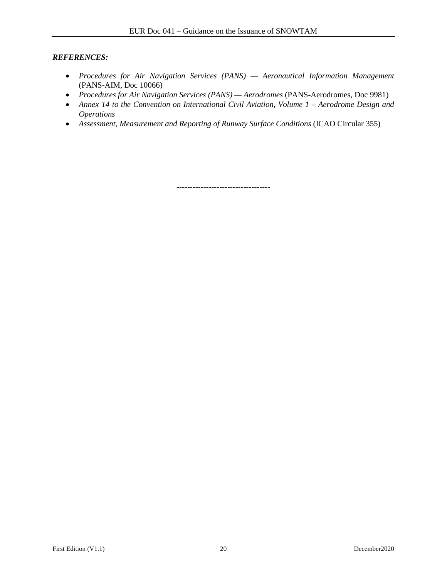#### *REFERENCES:*

- *Procedures for Air Navigation Services (PANS) — Aeronautical Information Management*  (PANS-AIM, Doc 10066)
- *Procedures for Air Navigation Services (PANS) — Aerodromes* (PANS-Aerodromes, Doc 9981)
- *Annex 14 to the Convention on International Civil Aviation, Volume 1 – Aerodrome Design and Operations*
- *Assessment, Measurement and Reporting of Runway Surface Conditions* (ICAO Circular 355)

**-----------------------------------**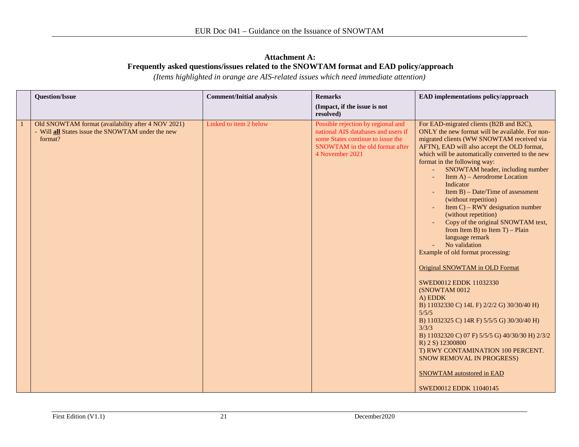#### **Attachment A: Frequently asked questions/issues related to the SNOWTAM format and EAD policy/approach**

*(Items highlighted in orange are AIS-related issues which need immediate attention)*

| <b>Question/Issue</b>                                                                                                     | <b>Comment/Initial analysis</b> | <b>Remarks</b>                                                                                                                                                       | EAD implementations policy/approach                                                                                                                                                                                                                                                                                                                                                                                                                                                                                                                                                                                                                                                                                                                                                                                                                                                                                                                                                                                                |
|---------------------------------------------------------------------------------------------------------------------------|---------------------------------|----------------------------------------------------------------------------------------------------------------------------------------------------------------------|------------------------------------------------------------------------------------------------------------------------------------------------------------------------------------------------------------------------------------------------------------------------------------------------------------------------------------------------------------------------------------------------------------------------------------------------------------------------------------------------------------------------------------------------------------------------------------------------------------------------------------------------------------------------------------------------------------------------------------------------------------------------------------------------------------------------------------------------------------------------------------------------------------------------------------------------------------------------------------------------------------------------------------|
|                                                                                                                           |                                 | (Impact, if the issue is not<br>resolved)                                                                                                                            |                                                                                                                                                                                                                                                                                                                                                                                                                                                                                                                                                                                                                                                                                                                                                                                                                                                                                                                                                                                                                                    |
| Old SNOWTAM format (availability after 4 NOV 2021)<br>- Will <b>all</b> States issue the SNOWTAM under the new<br>format? | Linked to item 2 below          | Possible rejection by regional and<br>national AIS databases and users if<br>some States continue to issue the<br>SNOWTAM in the old format after<br>4 November 2021 | For EAD-migrated clients (B2B and B2C),<br>ONLY the new format will be available. For non-<br>migrated clients (WW SNOWTAM received via<br>AFTN), EAD will also accept the OLD format,<br>which will be automatically converted to the new<br>format in the following way:<br>SNOWTAM header, including number<br>Item A) – Aerodrome Location<br>Indicator<br>Item $B$ ) – Date/Time of assessment<br>(without repetition)<br>Item $C$ ) – RWY designation number<br>(without repetition)<br>Copy of the original SNOWTAM text,<br>from Item B) to Item $T$ ) – Plain<br>language remark<br>No validation<br>Example of old format processing:<br>Original SNOWTAM in OLD Format<br>SWED0012 EDDK 11032330<br>(SNOWTAM 0012<br>A) EDDK<br>B) 11032330 C) 14L F) 2/2/2 G) 30/30/40 H)<br>5/5/5<br>B) 11032325 C) 14R F) 5/5/5 G) 30/30/40 H)<br>3/3/3<br>B) 11032320 C) 07 F) 5/5/5 G) 40/30/30 H) 2/3/2<br>R) 2 S) 12300800<br>T) RWY CONTAMINATION 100 PERCENT.<br>SNOW REMOVAL IN PROGRESS)<br><b>SNOWTAM</b> autostored in EAD |
|                                                                                                                           |                                 |                                                                                                                                                                      | SWED0012 EDDK 11040145                                                                                                                                                                                                                                                                                                                                                                                                                                                                                                                                                                                                                                                                                                                                                                                                                                                                                                                                                                                                             |

First Edition (V1.1) 21 December 2020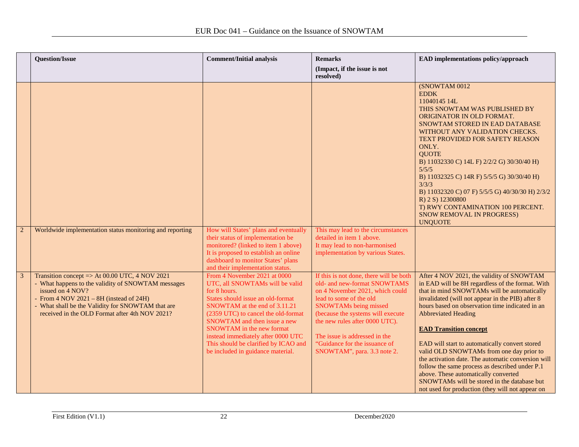|   | <b>Question/Issue</b>                                                                                                                                                                                                                                                               | <b>Comment/Initial analysis</b>                                                                                                                                                                                                                                                                                                                                                     | <b>Remarks</b><br>(Impact, if the issue is not<br>resolved)                                                                                                                                                                                                                                                                            | EAD implementations policy/approach                                                                                                                                                                                                                                                                                                                                                                                                                                                                                                                                                                                                                                 |
|---|-------------------------------------------------------------------------------------------------------------------------------------------------------------------------------------------------------------------------------------------------------------------------------------|-------------------------------------------------------------------------------------------------------------------------------------------------------------------------------------------------------------------------------------------------------------------------------------------------------------------------------------------------------------------------------------|----------------------------------------------------------------------------------------------------------------------------------------------------------------------------------------------------------------------------------------------------------------------------------------------------------------------------------------|---------------------------------------------------------------------------------------------------------------------------------------------------------------------------------------------------------------------------------------------------------------------------------------------------------------------------------------------------------------------------------------------------------------------------------------------------------------------------------------------------------------------------------------------------------------------------------------------------------------------------------------------------------------------|
|   |                                                                                                                                                                                                                                                                                     |                                                                                                                                                                                                                                                                                                                                                                                     |                                                                                                                                                                                                                                                                                                                                        | (SNOWTAM 0012<br><b>EDDK</b><br>11040145 14L<br>THIS SNOWTAM WAS PUBLISHED BY<br>ORIGINATOR IN OLD FORMAT.<br>SNOWTAM STORED IN EAD DATABASE<br>WITHOUT ANY VALIDATION CHECKS.<br>TEXT PROVIDED FOR SAFETY REASON<br>ONLY.<br><b>OUOTE</b><br>B) 11032330 C) 14L F) 2/2/2 G) 30/30/40 H)<br>5/5/5<br>B) 11032325 C) 14R F) 5/5/5 G) 30/30/40 H)<br>3/3/3<br>B) 11032320 C) 07 F) 5/5/5 G) 40/30/30 H) 2/3/2<br>R) 2 S) 12300800<br>T) RWY CONTAMINATION 100 PERCENT.<br>SNOW REMOVAL IN PROGRESS)<br><b>UNQUOTE</b>                                                                                                                                                 |
|   | Worldwide implementation status monitoring and reporting                                                                                                                                                                                                                            | How will States' plans and eventually<br>their status of implementation be<br>monitored? (linked to item 1 above)<br>It is proposed to establish an online<br>dashboard to monitor States' plans<br>and their implementation status.                                                                                                                                                | This may lead to the circumstances<br>detailed in item 1 above.<br>It may lead to non-harmonised<br>implementation by various States.                                                                                                                                                                                                  |                                                                                                                                                                                                                                                                                                                                                                                                                                                                                                                                                                                                                                                                     |
| 3 | Transition concept => At $00.00$ UTC, 4 NOV 2021<br>- What happens to the validity of SNOWTAM messages<br>issued on 4 NOV?<br>- From $4$ NOV $2021 - 8H$ (instead of $24H$ )<br>- What shall be the Validity for SNOWTAM that are<br>received in the OLD Format after 4th NOV 2021? | From 4 November 2021 at 0000<br>UTC, all SNOWTAMs will be valid<br>for 8 hours.<br>States should issue an old-format<br>SNOWTAM at the end of 3.11.21<br>(2359 UTC) to cancel the old-format<br><b>SNOWTAM</b> and then issue a new<br>SNOWTAM in the new format<br>instead immediately after 0000 UTC<br>This should be clarified by ICAO and<br>be included in guidance material. | If this is not done, there will be both<br>old- and new-format SNOWTAMS<br>on 4 November 2021, which could<br>lead to some of the old<br>SNOWTAMs being missed<br>(because the systems will execute<br>the new rules after 0000 UTC).<br>The issue is addressed in the<br>"Guidance for the issuance of<br>SNOWTAM", para. 3.3 note 2. | After 4 NOV 2021, the validity of SNOWTAM<br>in EAD will be 8H regardless of the format. With<br>that in mind SNOWTAMs will be automatically<br>invalidated (will not appear in the PIB) after 8<br>hours based on observation time indicated in an<br><b>Abbreviated Heading</b><br><b>EAD Transition concept</b><br>EAD will start to automatically convert stored<br>valid OLD SNOWTAMs from one day prior to<br>the activation date. The automatic conversion will<br>follow the same process as described under P.1<br>above. These automatically converted<br>SNOWTAMs will be stored in the database but<br>not used for production (they will not appear on |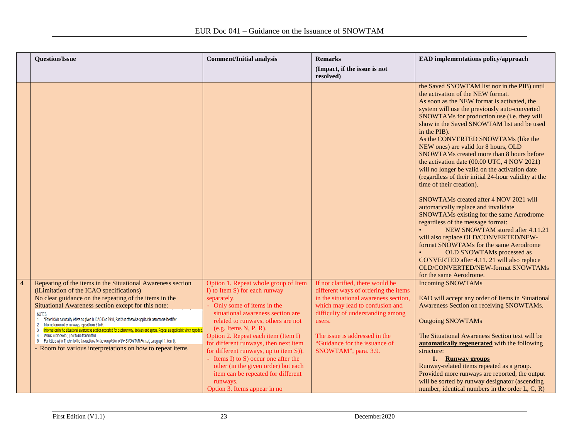|                | <b>Question/Issue</b>                                                                                                                                                                                                                                                                                                      | <b>Comment/Initial analysis</b>                                                                  | <b>Remarks</b><br>(Impact, if the issue is not                           | EAD implementations policy/approach                                                                                                                                                                                                                                                                                                                                                                                                                                                                                                                                                                                                                                                                                                                                                                                                                                                                                                                                                                                                                        |
|----------------|----------------------------------------------------------------------------------------------------------------------------------------------------------------------------------------------------------------------------------------------------------------------------------------------------------------------------|--------------------------------------------------------------------------------------------------|--------------------------------------------------------------------------|------------------------------------------------------------------------------------------------------------------------------------------------------------------------------------------------------------------------------------------------------------------------------------------------------------------------------------------------------------------------------------------------------------------------------------------------------------------------------------------------------------------------------------------------------------------------------------------------------------------------------------------------------------------------------------------------------------------------------------------------------------------------------------------------------------------------------------------------------------------------------------------------------------------------------------------------------------------------------------------------------------------------------------------------------------|
|                |                                                                                                                                                                                                                                                                                                                            |                                                                                                  | resolved)                                                                |                                                                                                                                                                                                                                                                                                                                                                                                                                                                                                                                                                                                                                                                                                                                                                                                                                                                                                                                                                                                                                                            |
|                |                                                                                                                                                                                                                                                                                                                            |                                                                                                  |                                                                          | the Saved SNOWTAM list nor in the PIB) until<br>the activation of the NEW format.<br>As soon as the NEW format is activated, the<br>system will use the previously auto-converted<br>SNOWTAMs for production use (i.e. they will<br>show in the Saved SNOWTAM list and be used<br>in the PIB).<br>As the CONVERTED SNOWTAMs (like the<br>NEW ones) are valid for 8 hours, OLD<br>SNOWTAMs created more than 8 hours before<br>the activation date (00.00 UTC, 4 NOV 2021)<br>will no longer be valid on the activation date<br>(regardless of their initial 24-hour validity at the<br>time of their creation).<br>SNOWTAMs created after 4 NOV 2021 will<br>automatically replace and invalidate<br>SNOWTAMs existing for the same Aerodrome<br>regardless of the message format:<br>NEW SNOWTAM stored after 4.11.21<br>will also replace OLD/CONVERTED/NEW-<br>format SNOWTAMs for the same Aerodrome<br>OLD SNOWTAMs processed as<br>CONVERTED after 4.11. 21 will also replace<br><b>OLD/CONVERTED/NEW-format SNOWTAMs</b><br>for the same Aerodrome. |
| $\overline{4}$ | Repeating of the items in the Situational Awareness section<br>(ILimitation of the ICAO specifications)                                                                                                                                                                                                                    | Option 1. Repeat whole group of Item<br>I) to Item S) for each runway                            | If not clarified, there would be<br>different ways of ordering the items | <b>Incoming SNOWTAMs</b>                                                                                                                                                                                                                                                                                                                                                                                                                                                                                                                                                                                                                                                                                                                                                                                                                                                                                                                                                                                                                                   |
|                | No clear guidance on the repeating of the items in the<br>Situational Awareness section except for this note:                                                                                                                                                                                                              | separately.<br>- Only some of items in the                                                       | in the situational awareness section,<br>which may lead to confusion and | EAD will accept any order of Items in Situational<br>Awareness Section on receiving SNOWTAMs.                                                                                                                                                                                                                                                                                                                                                                                                                                                                                                                                                                                                                                                                                                                                                                                                                                                                                                                                                              |
|                | <b>NOTES:</b><br>1. *Enter ICAO nationality letters as given in ICAO Doc 7910, Part 2 or otherwise applicable aerodrome identifier.<br>Information on other runways, repeat from B to H.<br>Information in the situational awareness section repeated for each runway, taxiway and apron. Repeat as applicable when report | situational awareness section are<br>related to runways, others are not<br>(e.g. Items N, P, R). | difficulty of understanding among<br>users.                              | <b>Outgoing SNOWTAMs</b>                                                                                                                                                                                                                                                                                                                                                                                                                                                                                                                                                                                                                                                                                                                                                                                                                                                                                                                                                                                                                                   |
|                | Words in brackets () not to be transmitted.<br>5. For letters A) to T) refer to the Instructions for the completion of the SNOWTAM Format, paragraph 1, item b).                                                                                                                                                           | Option 2. Repeat each item (Item I)                                                              | The issue is addressed in the                                            | The Situational Awareness Section text will be                                                                                                                                                                                                                                                                                                                                                                                                                                                                                                                                                                                                                                                                                                                                                                                                                                                                                                                                                                                                             |
|                | - Room for various interpretations on how to repeat items                                                                                                                                                                                                                                                                  | for different runways, then next item<br>for different runways, up to item S)).                  | "Guidance for the issuance of<br>SNOWTAM", para. 3.9.                    | automatically regenerated with the following<br>structure:                                                                                                                                                                                                                                                                                                                                                                                                                                                                                                                                                                                                                                                                                                                                                                                                                                                                                                                                                                                                 |
|                |                                                                                                                                                                                                                                                                                                                            | - Items I) to S) occur one after the                                                             |                                                                          | 1. Runway groups                                                                                                                                                                                                                                                                                                                                                                                                                                                                                                                                                                                                                                                                                                                                                                                                                                                                                                                                                                                                                                           |
|                |                                                                                                                                                                                                                                                                                                                            | other (in the given order) but each<br>item can be repeated for different                        |                                                                          | Runway-related items repeated as a group.<br>Provided more runways are reported, the output                                                                                                                                                                                                                                                                                                                                                                                                                                                                                                                                                                                                                                                                                                                                                                                                                                                                                                                                                                |
|                |                                                                                                                                                                                                                                                                                                                            | runways.                                                                                         |                                                                          | will be sorted by runway designator (ascending                                                                                                                                                                                                                                                                                                                                                                                                                                                                                                                                                                                                                                                                                                                                                                                                                                                                                                                                                                                                             |
|                |                                                                                                                                                                                                                                                                                                                            | Option 3. Items appear in no                                                                     |                                                                          | number, identical numbers in the order $L, C, R$ )                                                                                                                                                                                                                                                                                                                                                                                                                                                                                                                                                                                                                                                                                                                                                                                                                                                                                                                                                                                                         |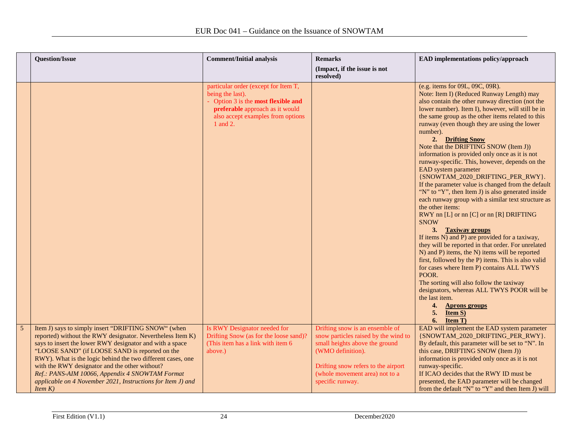|                | <b>Question/Issue</b>                                                                                                                                                                                                                                                                                                                                                                                                                                                                | <b>Comment/Initial analysis</b>                                                                                                                                                   | <b>Remarks</b><br>(Impact, if the issue is not<br>resolved)                                                                                                                                                                 | EAD implementations policy/approach                                                                                                                                                                                                                                                                                                                                                                                                                                                                                                                                                                                                                                                                                                                                                                                                                                                                                                                                                                                                                                                                                                                                                                                                             |
|----------------|--------------------------------------------------------------------------------------------------------------------------------------------------------------------------------------------------------------------------------------------------------------------------------------------------------------------------------------------------------------------------------------------------------------------------------------------------------------------------------------|-----------------------------------------------------------------------------------------------------------------------------------------------------------------------------------|-----------------------------------------------------------------------------------------------------------------------------------------------------------------------------------------------------------------------------|-------------------------------------------------------------------------------------------------------------------------------------------------------------------------------------------------------------------------------------------------------------------------------------------------------------------------------------------------------------------------------------------------------------------------------------------------------------------------------------------------------------------------------------------------------------------------------------------------------------------------------------------------------------------------------------------------------------------------------------------------------------------------------------------------------------------------------------------------------------------------------------------------------------------------------------------------------------------------------------------------------------------------------------------------------------------------------------------------------------------------------------------------------------------------------------------------------------------------------------------------|
|                |                                                                                                                                                                                                                                                                                                                                                                                                                                                                                      | particular order (except for Item T,<br>being the last).<br>Option 3 is the most flexible and<br>preferable approach as it would<br>also accept examples from options<br>1 and 2. |                                                                                                                                                                                                                             | (e.g. items for 09L, 09C, 09R).<br>Note: Item I) (Reduced Runway Length) may<br>also contain the other runway direction (not the<br>lower number). Item I), however, will still be in<br>the same group as the other items related to this<br>runway (even though they are using the lower<br>number).<br>2. Drifting Snow<br>Note that the DRIFTING SNOW (Item J))<br>information is provided only once as it is not<br>runway-specific. This, however, depends on the<br>EAD system parameter<br>{SNOWTAM_2020_DRIFTING_PER_RWY}.<br>If the parameter value is changed from the default<br>"N" to "Y", then Item J) is also generated inside<br>each runway group with a similar text structure as<br>the other items:<br>RWY nn [L] or nn [C] or nn [R] DRIFTING<br><b>SNOW</b><br>3. Taxiway groups<br>If items N) and P) are provided for a taxiway,<br>they will be reported in that order. For unrelated<br>N) and P) items, the N) items will be reported<br>first, followed by the P) items. This is also valid<br>for cases where Item P) contains ALL TWYS<br>POOR.<br>The sorting will also follow the taxiway<br>designators, whereas ALL TWYS POOR will be<br>the last item.<br>4. Aprons groups<br>5. Item $S$ )<br>$6.$ Item T) |
| $\overline{5}$ | Item J) says to simply insert "DRIFTING SNOW" (when<br>reported) without the RWY designator. Nevertheless Item K)<br>says to insert the lower RWY designator and with a space<br>"LOOSE SAND" (if LOOSE SAND is reported on the<br>RWY). What is the logic behind the two different cases, one<br>with the RWY designator and the other without?<br>Ref.: PANS-AIM 10066, Appendix 4 SNOWTAM Format<br>applicable on 4 November 2021, Instructions for Item J) and<br><i>Item K)</i> | Is RWY Designator needed for<br>Drifting Snow (as for the loose sand)?<br>(This item has a link with item 6)<br>above.)                                                           | Drifting snow is an ensemble of<br>snow particles raised by the wind to<br>small heights above the ground<br>(WMO definition).<br>Drifting snow refers to the airport<br>(whole movement area) not to a<br>specific runway. | EAD will implement the EAD system parameter<br>{SNOWTAM_2020_DRIFTING_PER_RWY}.<br>By default, this parameter will be set to "N". In<br>this case, DRIFTING SNOW (Item J))<br>information is provided only once as it is not<br>runway-specific.<br>If ICAO decides that the RWY ID must be<br>presented, the EAD parameter will be changed<br>from the default "N" to "Y" and then Item J) will                                                                                                                                                                                                                                                                                                                                                                                                                                                                                                                                                                                                                                                                                                                                                                                                                                                |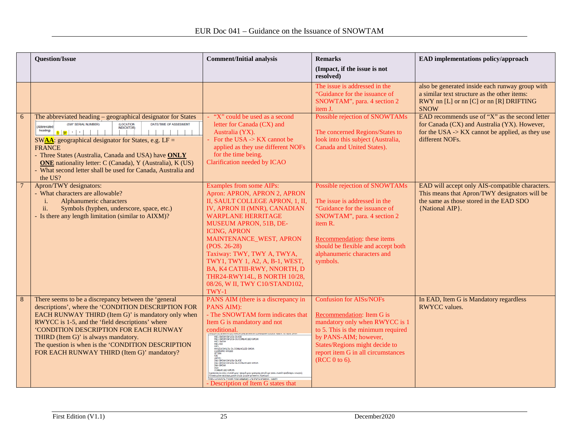|    | <b>Question/Issue</b>                                                                                                                                                                                                                                                                                                                                                                                                                                                                                       | <b>Comment/Initial analysis</b>                                                                                                                                                                                                                                                                                                                                                                                                                                                                                                                                                                                                                   | <b>Remarks</b>                                                                                                                                                                                                                                             | EAD implementations policy/approach                                                                                                                                                  |
|----|-------------------------------------------------------------------------------------------------------------------------------------------------------------------------------------------------------------------------------------------------------------------------------------------------------------------------------------------------------------------------------------------------------------------------------------------------------------------------------------------------------------|---------------------------------------------------------------------------------------------------------------------------------------------------------------------------------------------------------------------------------------------------------------------------------------------------------------------------------------------------------------------------------------------------------------------------------------------------------------------------------------------------------------------------------------------------------------------------------------------------------------------------------------------------|------------------------------------------------------------------------------------------------------------------------------------------------------------------------------------------------------------------------------------------------------------|--------------------------------------------------------------------------------------------------------------------------------------------------------------------------------------|
|    |                                                                                                                                                                                                                                                                                                                                                                                                                                                                                                             |                                                                                                                                                                                                                                                                                                                                                                                                                                                                                                                                                                                                                                                   | (Impact, if the issue is not<br>resolved)                                                                                                                                                                                                                  |                                                                                                                                                                                      |
|    |                                                                                                                                                                                                                                                                                                                                                                                                                                                                                                             |                                                                                                                                                                                                                                                                                                                                                                                                                                                                                                                                                                                                                                                   | The issue is addressed in the<br>"Guidance for the issuance of<br>SNOWTAM", para. 4 section 2<br>item J.                                                                                                                                                   | also be generated inside each runway group with<br>a similar text structure as the other items:<br>RWY nn [L] or nn [C] or nn [R] DRIFTING<br><b>SNOW</b>                            |
| 6  | The abbreviated heading - geographical designator for States<br>(SW* SERIAL NUMBER)<br>(LOCATION<br>DATE/TIME OF ASSESMENT<br>(Abbreviated<br><b>INDICATOR)</b><br>heading)<br>$s w $ $\cdot$ $\cdot$ $\cdot$<br>SW $\overline{AA}$ : geographical designator for States, e.g. LF =<br><b>FRANCE</b><br>- Three States (Australia, Canada and USA) have ONLY<br><b>ONE</b> nationality letter: C (Canada), Y (Australia), K (US)<br>- What second letter shall be used for Canada, Australia and<br>the US? | "X" could be used as a second<br>letter for Canada (CX) and<br>Australia (YX).<br>For the USA $\rightarrow$ KX cannot be<br>applied as they use different NOFs<br>for the time being.<br>Clarification needed by ICAO                                                                                                                                                                                                                                                                                                                                                                                                                             | Possible rejection of SNOWTAMs<br>The concerned Regions/States to<br>look into this subject (Australia,<br>Canada and United States).                                                                                                                      | EAD recommends use of " $X$ " as the second letter<br>for Canada (CX) and Australia (YX). However,<br>for the USA $\rightarrow$ KX cannot be applied, as they use<br>different NOFs. |
|    | Apron/TWY designators:<br>- What characters are allowable?<br>Alphanumeric characters<br>i.<br>Symbols (hyphen, underscore, space, etc.)<br>ii.<br>- Is there any length limitation (similar to AIXM)?                                                                                                                                                                                                                                                                                                      | Examples from some AIPs:<br>Apron: APRON, APRON 2, APRON<br>II, SAULT COLLEGE APRON, 1, II,<br>IV, APRON II (MNR), CANADIAN<br><b>WARPLANE HERRITAGE</b><br><b>MUSEUM APRON, 51B, DE-</b><br><b>ICING, APRON</b><br>MAINTENANCE_WEST, APRON<br>$(POS. 26-28)$<br>Taxiway: TWY, TWY A, TWYA,<br>TWY1, TWY 1, A2, A, B-1, WEST,<br>BA, K4 CATIII-RWY, NNORTH, D<br>THR24-RWY14L, B NORTH 10/28,<br>08/26, W II, TWY C10/STAND102,<br>TWY-1                                                                                                                                                                                                          | Possible rejection of SNOWTAMs<br>The issue is addressed in the<br>"Guidance for the issuance of<br>SNOWTAM", para. 4 section 2<br>item R.<br>Recommendation: these items<br>should be flexible and accept both<br>alphanumeric characters and<br>symbols. | EAD will accept only AIS-compatible characters.<br>This means that Apron/TWY designators will be<br>the same as those stored in the EAD SDO<br>{National AIP}.                       |
| -8 | There seems to be a discrepancy between the 'general<br>descriptions', where the 'CONDITION DESCRIPTION FOR<br>EACH RUNWAY THIRD (Item G)' is mandatory only when<br>RWYCC is 1-5, and the 'field descriptions' where<br>'CONDITION DESCRIPTION FOR EACH RUNWAY<br>THIRD (Item G)' is always mandatory.<br>The question is when is the 'CONDITION DESCRIPTION<br>FOR EACH RUNWAY THIRD (Item G)' mandatory?                                                                                                 | PANS AIM (there is a discrepancy in<br>PANS AIM):<br>- The SNOWTAM form indicates that<br>Item G is mandatory and not<br>conditional.<br>WET SNOW<br>WET SNOW ON TOP OF COMPACTED SNOW<br>WET SNOW ON TOP OF ICE<br>WEL ICE<br>SENSE<br>STANDING WATER<br>WATER ON TOP OF COMPACTED SNOW<br>DRY SNOW ON TOP OF COMPACTED SNOW<br>DRY SNOW ON TOP OF ICE<br>FROST<br>Deck Obertun<br>COMPACTED SNOW<br>CONDITION DESCRIPTION OVER TOTAL RUNWAY LENGTH)<br>Reserved on each numer third, starting from thesitioid having the Joser numery designation number)<br>FEH WAS CETODER CONTINUES FOR PICH ROWSELLING<br>Description of Item G states that | <b>Confusion for AISs/NOFs</b><br>Recommendation: Item G is<br>mandatory only when RWYCC is 1<br>to 5. This is the minimum required<br>by PANS-AIM; however,<br>States/Regions might decide to<br>report item G in all circumstances<br>(RCC 0 to 6).      | In EAD, Item G is Mandatory regardless<br><b>RWYCC</b> values.                                                                                                                       |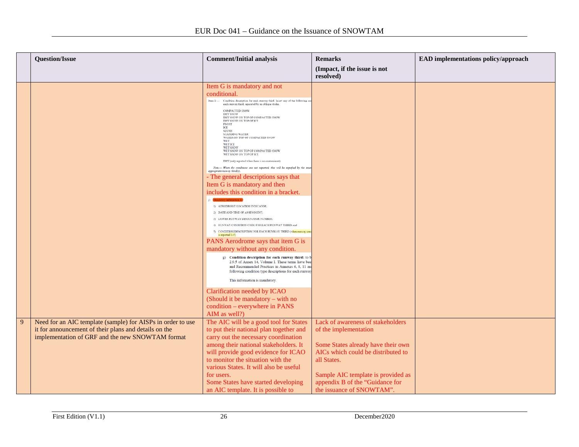|   | <b>Question/Issue</b>                                       | <b>Comment/Initial analysis</b>                                                                                                                                                                                        | <b>Remarks</b>                     | EAD implementations policy/approach |
|---|-------------------------------------------------------------|------------------------------------------------------------------------------------------------------------------------------------------------------------------------------------------------------------------------|------------------------------------|-------------------------------------|
|   |                                                             |                                                                                                                                                                                                                        | (Impact, if the issue is not       |                                     |
|   |                                                             |                                                                                                                                                                                                                        | resolved)                          |                                     |
|   |                                                             | Item G is mandatory and not                                                                                                                                                                                            |                                    |                                     |
|   |                                                             | conditional.                                                                                                                                                                                                           |                                    |                                     |
|   |                                                             | Item $G$ $-$<br>Condition description for each runway third, Insert any of the following or<br>each runway third, separated by an oblique stroke.                                                                      |                                    |                                     |
|   |                                                             | <b>COMPACTED SNOW</b><br><b>DRY SNOW</b><br>DRY SNOW ON TOP OF COMPACTED SNOW<br>DRY SNOW ON TOP OF ICE<br><b>FROST</b><br>ICE                                                                                         |                                    |                                     |
|   |                                                             | SLUSH<br>STANDING WATER<br>WATER ON TOP OF COMPACTED SNOW<br><b>WET</b>                                                                                                                                                |                                    |                                     |
|   |                                                             | <b>WET ICE</b><br><b>WET SNOW</b><br>WET SNOW ON TOP OF COMPACTED SNOW<br>WET SNOW ON TOP OF ICE                                                                                                                       |                                    |                                     |
|   |                                                             | DRY (only reported when there is no contaminant)                                                                                                                                                                       |                                    |                                     |
|   |                                                             | Note.- When the conditions are not reported, this will be signified by the maer<br>appropriate runnery third(z).                                                                                                       |                                    |                                     |
|   |                                                             | - The general descriptions says that                                                                                                                                                                                   |                                    |                                     |
|   |                                                             | Item G is mandatory and then                                                                                                                                                                                           |                                    |                                     |
|   |                                                             | includes this condition in a bracket.                                                                                                                                                                                  |                                    |                                     |
|   |                                                             |                                                                                                                                                                                                                        |                                    |                                     |
|   |                                                             | 1) AERODROME LOCATION INDICATOR.                                                                                                                                                                                       |                                    |                                     |
|   |                                                             | 2) DATE AND TIME OF ASSESSMENT                                                                                                                                                                                         |                                    |                                     |
|   |                                                             | 3) LOWER RUNWAY DESIGNATOR NUMBER:<br>4) RUNWAY CONDITION CODE FOR EACH RUNWAY THIRD: and                                                                                                                              |                                    |                                     |
|   |                                                             | 5) CONDITION DESCRIPTION FOR EACH RUNWAY THIRD (when mining con<br>is reported 1-5                                                                                                                                     |                                    |                                     |
|   |                                                             | PANS Aerodrome says that item G is                                                                                                                                                                                     |                                    |                                     |
|   |                                                             | mandatory without any condition.                                                                                                                                                                                       |                                    |                                     |
|   |                                                             | g) Condition description for each runway third: to b<br>2.9.5 of Annex 14, Volume I. These terms have bee<br>and Recommended Practices in Annexes 6, 8, 11 an<br>following condition type descriptions for each runway |                                    |                                     |
|   |                                                             | This information is mandatory.                                                                                                                                                                                         |                                    |                                     |
|   |                                                             | Clarification needed by ICAO                                                                                                                                                                                           |                                    |                                     |
|   |                                                             | (Should it be mandatory – with no                                                                                                                                                                                      |                                    |                                     |
|   |                                                             | condition – everywhere in PANS                                                                                                                                                                                         |                                    |                                     |
|   |                                                             | AIM as well?)                                                                                                                                                                                                          |                                    |                                     |
| 9 | Need for an AIC template (sample) for AISPs in order to use | The AIC will be a good tool for States                                                                                                                                                                                 | Lack of awareness of stakeholders  |                                     |
|   | it for announcement of their plans and details on the       | to put their national plan together and                                                                                                                                                                                | of the implementation              |                                     |
|   | implementation of GRF and the new SNOWTAM format            | carry out the necessary coordination                                                                                                                                                                                   |                                    |                                     |
|   |                                                             | among their national stakeholders. It                                                                                                                                                                                  | Some States already have their own |                                     |
|   |                                                             | will provide good evidence for ICAO                                                                                                                                                                                    | AICs which could be distributed to |                                     |
|   |                                                             | to monitor the situation with the                                                                                                                                                                                      | all States.                        |                                     |
|   |                                                             | various States. It will also be useful                                                                                                                                                                                 |                                    |                                     |
|   |                                                             | for users.                                                                                                                                                                                                             | Sample AIC template is provided as |                                     |
|   |                                                             | Some States have started developing                                                                                                                                                                                    | appendix B of the "Guidance for    |                                     |
|   |                                                             | an AIC template. It is possible to                                                                                                                                                                                     | the issuance of SNOWTAM".          |                                     |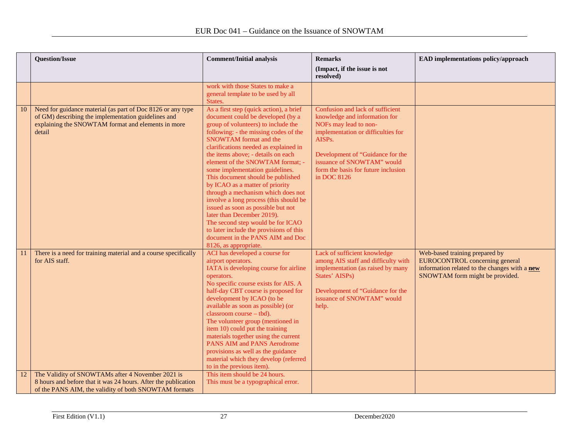|    | <b>Question/Issue</b>                                                                                                                                                              | <b>Comment/Initial analysis</b>                                                                                                                                                                                                                                                                                                                                                                                                                                                                                                                                                                                                                                                                                       | <b>Remarks</b><br>(Impact, if the issue is not                                                                                                                                                                                                                     | <b>EAD</b> implementations policy/approach                                                                                                                  |
|----|------------------------------------------------------------------------------------------------------------------------------------------------------------------------------------|-----------------------------------------------------------------------------------------------------------------------------------------------------------------------------------------------------------------------------------------------------------------------------------------------------------------------------------------------------------------------------------------------------------------------------------------------------------------------------------------------------------------------------------------------------------------------------------------------------------------------------------------------------------------------------------------------------------------------|--------------------------------------------------------------------------------------------------------------------------------------------------------------------------------------------------------------------------------------------------------------------|-------------------------------------------------------------------------------------------------------------------------------------------------------------|
|    |                                                                                                                                                                                    |                                                                                                                                                                                                                                                                                                                                                                                                                                                                                                                                                                                                                                                                                                                       | resolved)                                                                                                                                                                                                                                                          |                                                                                                                                                             |
|    |                                                                                                                                                                                    | work with those States to make a<br>general template to be used by all<br>States.                                                                                                                                                                                                                                                                                                                                                                                                                                                                                                                                                                                                                                     |                                                                                                                                                                                                                                                                    |                                                                                                                                                             |
| 10 | Need for guidance material (as part of Doc 8126 or any type<br>of GM) describing the implementation guidelines and<br>explaining the SNOWTAM format and elements in more<br>detail | As a first step (quick action), a brief<br>document could be developed (by a<br>group of volunteers) to include the<br>following: - the missing codes of the<br>SNOWTAM format and the<br>clarifications needed as explained in<br>the items above; - details on each<br>element of the SNOWTAM format; -<br>some implementation guidelines.<br>This document should be published<br>by ICAO as a matter of priority<br>through a mechanism which does not<br>involve a long process (this should be<br>issued as soon as possible but not<br>later than December 2019).<br>The second step would be for ICAO<br>to later include the provisions of this<br>document in the PANS AIM and Doc<br>8126, as appropriate. | Confusion and lack of sufficient<br>knowledge and information for<br>NOFs may lead to non-<br>implementation or difficulties for<br>AISPs.<br>Development of "Guidance for the<br>issuance of SNOWTAM" would<br>form the basis for future inclusion<br>in DOC 8126 |                                                                                                                                                             |
| 11 | There is a need for training material and a course specifically<br>for AIS staff.                                                                                                  | ACI has developed a course for<br>airport operators.<br>IATA is developing course for airline<br>operators.<br>No specific course exists for AIS. A<br>half-day CBT course is proposed for<br>development by ICAO (to be<br>available as soon as possible) (or<br>classroom course - tbd).<br>The volunteer group (mentioned in<br>item 10) could put the training<br>materials together using the current<br>PANS AIM and PANS Aerodrome<br>provisions as well as the guidance<br>material which they develop (referred<br>to in the previous item).                                                                                                                                                                 | Lack of sufficient knowledge<br>among AIS staff and difficulty with<br>implementation (as raised by many<br>States' AISPs)<br>Development of "Guidance for the<br>issuance of SNOWTAM" would<br>help.                                                              | Web-based training prepared by<br><b>EUROCONTROL</b> concerning general<br>information related to the changes with a new<br>SNOWTAM form might be provided. |
| 12 | The Validity of SNOWTAMs after 4 November 2021 is<br>8 hours and before that it was 24 hours. After the publication<br>of the PANS AIM, the validity of both SNOWTAM formats       | This item should be 24 hours.<br>This must be a typographical error.                                                                                                                                                                                                                                                                                                                                                                                                                                                                                                                                                                                                                                                  |                                                                                                                                                                                                                                                                    |                                                                                                                                                             |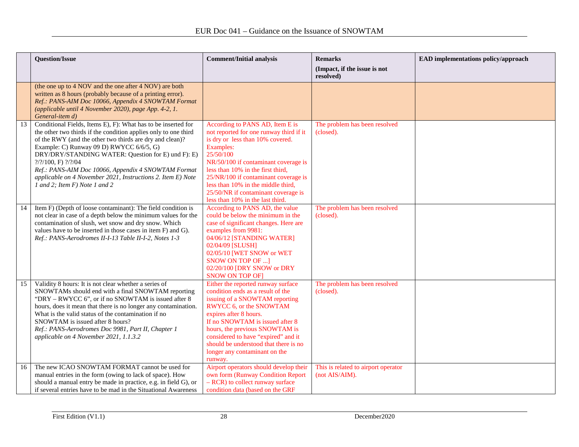|    | <b>Question/Issue</b>                                                                                                                                                                                                                                                                                                                                                                                                                                                                                              | <b>Comment/Initial analysis</b>                                                                                                                                                                                                                                                                                                                                                | <b>Remarks</b><br>(Impact, if the issue is not        | EAD implementations policy/approach |
|----|--------------------------------------------------------------------------------------------------------------------------------------------------------------------------------------------------------------------------------------------------------------------------------------------------------------------------------------------------------------------------------------------------------------------------------------------------------------------------------------------------------------------|--------------------------------------------------------------------------------------------------------------------------------------------------------------------------------------------------------------------------------------------------------------------------------------------------------------------------------------------------------------------------------|-------------------------------------------------------|-------------------------------------|
|    | (the one up to 4 NOV and the one after 4 NOV) are both<br>written as 8 hours (probably because of a printing error).<br>Ref.: PANS-AIM Doc 10066, Appendix 4 SNOWTAM Format<br>(applicable until 4 November 2020), page App. 4-2, 1.<br>General-item d)                                                                                                                                                                                                                                                            |                                                                                                                                                                                                                                                                                                                                                                                | resolved)                                             |                                     |
| 13 | Conditional Fields, Items E), F): What has to be inserted for<br>the other two thirds if the condition applies only to one third<br>of the RWY (and the other two thirds are dry and clean)?<br>Example: C) Runway 09 D) RWYCC 6/6/5, G)<br>DRY/DRY/STANDING WATER: Question for E) und F): E)<br>$\frac{?}{?}\frac{?}{100}$ , F) $\frac{?}{?}\frac{?}{04}$<br>Ref.: PANS-AIM Doc 10066, Appendix 4 SNOWTAM Format<br>applicable on 4 November 2021, Instructions 2. Item E) Note<br>1 and 2; Item F) Note 1 and 2 | According to PANS AD, Item E is<br>not reported for one runway third if it<br>is dry or less than 10% covered.<br>Examples:<br>25/50/100<br>NR/50/100 if contaminant coverage is<br>less than 10% in the first third,<br>25/NR/100 if contaminant coverage is<br>less than 10% in the middle third,<br>25/50/NR if contaminant coverage is<br>less than 10% in the last third. | The problem has been resolved<br>(closed).            |                                     |
| 14 | Item F) (Depth of loose contaminant): The field condition is<br>not clear in case of a depth below the minimum values for the<br>contamination of slush, wet snow and dry snow. Which<br>values have to be inserted in those cases in item F) and G).<br>Ref.: PANS-Aerodromes II-I-13 Table II-I-2, Notes 1-3                                                                                                                                                                                                     | According to PANS AD, the value<br>could be below the minimum in the<br>case of significant changes. Here are<br>examples from 9981:<br>04/06/12 [STANDING WATER]<br>02/04/09 [SLUSH]<br>02/05/10 [WET SNOW or WET<br><b>SNOW ON TOP OF </b> ]<br>02/20/100 [DRY SNOW or DRY<br><b>SNOW ON TOP OF]</b>                                                                         | The problem has been resolved<br>(closed).            |                                     |
| 15 | Validity 8 hours: It is not clear whether a series of<br>SNOWTAMs should end with a final SNOWTAM reporting<br>"DRY – RWYCC 6", or if no SNOWTAM is issued after 8<br>hours, does it mean that there is no longer any contamination.<br>What is the valid status of the contamination if no<br>SNOWTAM is issued after 8 hours?<br>Ref.: PANS-Aerodromes Doc 9981, Part II, Chapter 1<br>applicable on 4 November 2021, 1.1.3.2                                                                                    | Either the reported runway surface<br>condition ends as a result of the<br>issuing of a SNOWTAM reporting<br>RWYCC 6, or the SNOWTAM<br>expires after 8 hours.<br>If no SNOWTAM is issued after 8<br>hours, the previous SNOWTAM is<br>considered to have "expired" and it<br>should be understood that there is no<br>longer any contaminant on the<br>runway.                | The problem has been resolved<br>(closed).            |                                     |
| 16 | The new ICAO SNOWTAM FORMAT cannot be used for<br>manual entries in the form (owing to lack of space). How<br>should a manual entry be made in practice, e.g. in field G), or<br>if several entries have to be mad in the Situational Awareness                                                                                                                                                                                                                                                                    | Airport operators should develop their<br>own form (Runway Condition Report<br>- RCR) to collect runway surface<br>condition data (based on the GRF                                                                                                                                                                                                                            | This is related to airport operator<br>(not AIS/AIM). |                                     |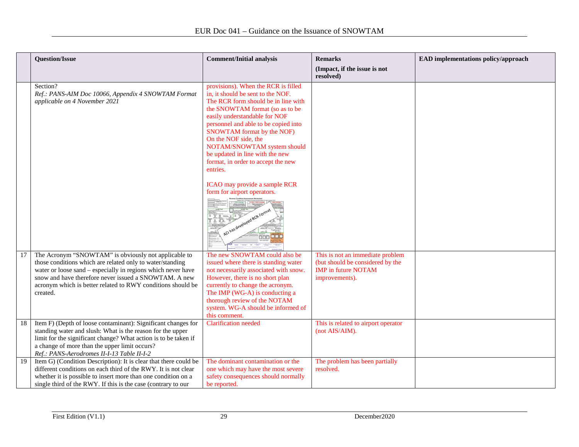|     | <b>Question/Issue</b>                                                                                                                                                                                                                                                                                                 | <b>Comment/Initial analysis</b>                                                                                                                                                                                                                                                                                                                                                                        | <b>Remarks</b><br>(Impact, if the issue is not<br>resolved)                                                          | EAD implementations policy/approach |
|-----|-----------------------------------------------------------------------------------------------------------------------------------------------------------------------------------------------------------------------------------------------------------------------------------------------------------------------|--------------------------------------------------------------------------------------------------------------------------------------------------------------------------------------------------------------------------------------------------------------------------------------------------------------------------------------------------------------------------------------------------------|----------------------------------------------------------------------------------------------------------------------|-------------------------------------|
|     | Section?<br>Ref.: PANS-AIM Doc 10066, Appendix 4 SNOWTAM Format<br>applicable on 4 November 2021                                                                                                                                                                                                                      | provisions). When the RCR is filled<br>in, it should be sent to the NOF.<br>The RCR form should be in line with<br>the SNOWTAM format (so as to be)<br>easily understandable for NOF<br>personnel and able to be copied into<br>SNOWTAM format by the NOF)<br>On the NOF side, the<br>NOTAM/SNOWTAM system should<br>be updated in line with the new<br>format, in order to accept the new<br>entries. |                                                                                                                      |                                     |
|     |                                                                                                                                                                                                                                                                                                                       | ICAO may provide a sample RCR<br>form for airport operators.<br>nnn                                                                                                                                                                                                                                                                                                                                    |                                                                                                                      |                                     |
| 17  | The Acronym "SNOWTAM" is obviously not applicable to<br>those conditions which are related only to water/standing<br>water or loose sand – especially in regions which never have<br>snow and have therefore never issued a SNOWTAM. A new<br>acronym which is better related to RWY conditions should be<br>created. | The new SNOWTAM could also be<br>issued where there is standing water<br>not necessarily associated with snow.<br>However, there is no short plan<br>currently to change the acronym.<br>The IMP (WG-A) is conducting a<br>thorough review of the NOTAM<br>system. WG-A should be informed of<br>this comment.                                                                                         | This is not an immediate problem<br>(but should be considered by the<br><b>IMP</b> in future NOTAM<br>improvements). |                                     |
| -18 | Item F) (Depth of loose contaminant): Significant changes for<br>standing water and slush: What is the reason for the upper<br>limit for the significant change? What action is to be taken if<br>a change of more than the upper limit occurs?<br>Ref.: PANS-Aerodromes II-I-13 Table II-I-2                         | <b>Clarification</b> needed                                                                                                                                                                                                                                                                                                                                                                            | This is related to airport operator<br>(not AIS/AIM).                                                                |                                     |
| -19 | Item G) (Condition Description): It is clear that there could be<br>different conditions on each third of the RWY. It is not clear<br>whether it is possible to insert more than one condition on a<br>single third of the RWY. If this is the case (contrary to our                                                  | The dominant contamination or the<br>one which may have the most severe<br>safety consequences should normally<br>be reported.                                                                                                                                                                                                                                                                         | The problem has been partially<br>resolved.                                                                          |                                     |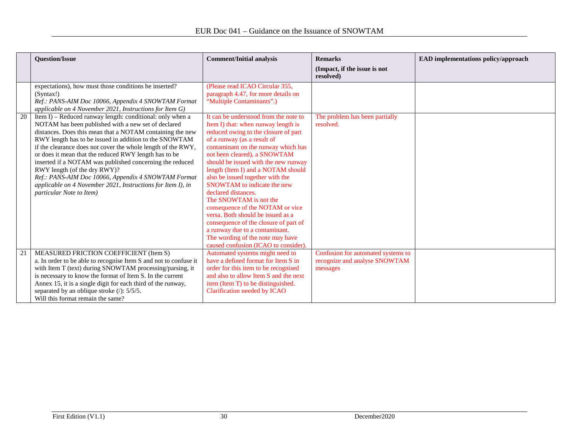|    | <b>Question/Issue</b>                                                                                                                                                                                                                                                                                                                                                                                                                                                                                                                                                                                          | <b>Comment/Initial analysis</b>                                                                                                                                                                                                                                                                                                                                                                                                                                                                                                                                                                                                                              | <b>Remarks</b>                                                                  | EAD implementations policy/approach |
|----|----------------------------------------------------------------------------------------------------------------------------------------------------------------------------------------------------------------------------------------------------------------------------------------------------------------------------------------------------------------------------------------------------------------------------------------------------------------------------------------------------------------------------------------------------------------------------------------------------------------|--------------------------------------------------------------------------------------------------------------------------------------------------------------------------------------------------------------------------------------------------------------------------------------------------------------------------------------------------------------------------------------------------------------------------------------------------------------------------------------------------------------------------------------------------------------------------------------------------------------------------------------------------------------|---------------------------------------------------------------------------------|-------------------------------------|
|    |                                                                                                                                                                                                                                                                                                                                                                                                                                                                                                                                                                                                                |                                                                                                                                                                                                                                                                                                                                                                                                                                                                                                                                                                                                                                                              | (Impact, if the issue is not<br>resolved)                                       |                                     |
|    | expectations), how must those conditions be inserted?<br>(Svntax!)<br>Ref.: PANS-AIM Doc 10066, Appendix 4 SNOWTAM Format<br>applicable on 4 November 2021, Instructions for Item G)                                                                                                                                                                                                                                                                                                                                                                                                                           | (Please read ICAO Circular 355,<br>paragraph 4.47, for more details on<br>"Multiple Contaminants".)                                                                                                                                                                                                                                                                                                                                                                                                                                                                                                                                                          |                                                                                 |                                     |
| 20 | Item I) – Reduced runway length: conditional: only when a<br>NOTAM has been published with a new set of declared<br>distances. Does this mean that a NOTAM containing the new<br>RWY length has to be issued in addition to the SNOWTAM<br>if the clearance does not cover the whole length of the RWY,<br>or does it mean that the reduced RWY length has to be<br>inserted if a NOTAM was published concerning the reduced<br>RWY length (of the dry RWY)?<br>Ref.: PANS-AIM Doc 10066, Appendix 4 SNOWTAM Format<br>applicable on 4 November 2021, Instructions for Item I), in<br>particular Note to Item) | It can be understood from the note to<br>Item I) that: when runway length is<br>reduced owing to the closure of part<br>of a runway (as a result of<br>contaminant on the runway which has<br>not been cleared), a SNOWTAM<br>should be issued with the new runway<br>length (Item I) and a NOTAM should<br>also be issued together with the<br>SNOWTAM to indicate the new<br>declared distances.<br>The SNOWTAM is not the<br>consequence of the NOTAM or vice<br>versa. Both should be issued as a<br>consequence of the closure of part of<br>a runway due to a contaminant.<br>The wording of the note may have<br>caused confusion (ICAO to consider). | The problem has been partially<br>resolved.                                     |                                     |
| 21 | MEASURED FRICTION COEFFICIENT (Item S)<br>a. In order to be able to recognise Item S and not to confuse it<br>with Item T (text) during SNOWTAM processing/parsing, it<br>is necessary to know the format of Item S. In the current<br>Annex 15, it is a single digit for each third of the runway,<br>separated by an oblique stroke $($ ): $5/5/5$ .<br>Will this format remain the same?                                                                                                                                                                                                                    | Automated systems might need to<br>have a defined format for Item S in<br>order for this item to be recognised<br>and also to allow Item S and the next<br>item (Item T) to be distinguished.<br>Clarification needed by ICAO                                                                                                                                                                                                                                                                                                                                                                                                                                | Confusion for automated systems to<br>recognize and analyse SNOWTAM<br>messages |                                     |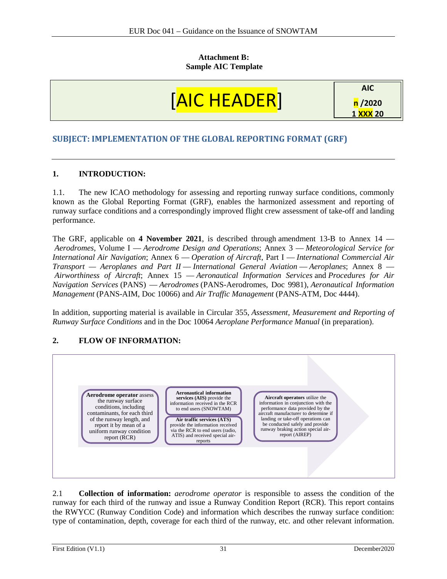#### **Attachment B: Sample AIC Template**



## **SUBJECT: IMPLEMENTATION OF THE GLOBAL REPORTING FORMAT (GRF)**

#### **1. INTRODUCTION:**

1.1. The new ICAO methodology for assessing and reporting runway surface conditions, commonly known as the Global Reporting Format (GRF), enables the harmonized assessment and reporting of runway surface conditions and a correspondingly improved flight crew assessment of take-off and landing performance.

The GRF, applicable on **4 November 2021**, is described through amendment 13-B to Annex 14 — *Aerodromes*, Volume I — *Aerodrome Design and Operations*; Annex 3 — *Meteorological Service for International Air Navigation*; Annex 6 — *Operation of Aircraft*, Part I — *International Commercial Air Transport — Aeroplanes and Part II* — *International General Aviation* — *Aeroplanes*; Annex 8 — *Airworthiness of Aircraft*; Annex 15 — *Aeronautical Information Services* and *Procedures for Air Navigation Services* (PANS) — *Aerodromes* (PANS-Aerodromes, Doc 9981), *Aeronautical Information Management* (PANS-AIM, Doc 10066) and *Air Traffic Management* (PANS-ATM, Doc 4444).

In addition, supporting material is available in Circular 355, *Assessment, Measurement and Reporting of Runway Surface Conditions* and in the Doc 10064 *Aeroplane Performance Manual* (in preparation).

#### **2. FLOW OF INFORMATION:**



2.1 **Collection of information:** *aerodrome operator* is responsible to assess the condition of the runway for each third of the runway and issue a Runway Condition Report (RCR). This report contains the RWYCC (Runway Condition Code) and information which describes the runway surface condition: type of contamination, depth, coverage for each third of the runway, etc. and other relevant information.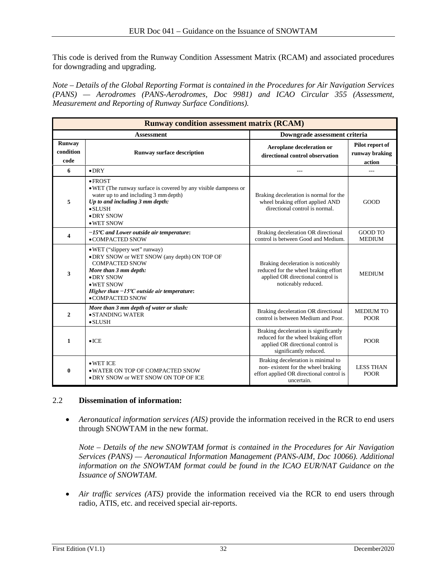This code is derived from the Runway Condition Assessment Matrix (RCAM) and associated procedures for downgrading and upgrading.

*Note – Details of the Global Reporting Format is contained in the Procedures for Air Navigation Services (PANS) — Aerodromes (PANS-Aerodromes, Doc 9981) and ICAO Circular 355 (Assessment, Measurement and Reporting of Runway Surface Conditions).*

| <b>Runway condition assessment matrix (RCAM)</b> |                                                                                                                                                                                                                                        |                                                                                                                                              |                                             |  |
|--------------------------------------------------|----------------------------------------------------------------------------------------------------------------------------------------------------------------------------------------------------------------------------------------|----------------------------------------------------------------------------------------------------------------------------------------------|---------------------------------------------|--|
|                                                  | <b>Assessment</b>                                                                                                                                                                                                                      | Downgrade assessment criteria                                                                                                                |                                             |  |
| Runway<br>condition<br>code                      | <b>Runway surface description</b>                                                                                                                                                                                                      | Aeroplane deceleration or<br>directional control observation                                                                                 | Pilot report of<br>runway braking<br>action |  |
| 6                                                | $\bullet$ DRY                                                                                                                                                                                                                          | ---                                                                                                                                          | ---                                         |  |
| 5                                                | $\bullet$ FROST<br>• WET (The runway surface is covered by any visible dampness or<br>water up to and including 3 mm depth)<br>Up to and including 3 mm depth:<br>$\bullet$ SLUSH<br>$\bullet$ DRY SNOW<br>• WET SNOW                  | Braking deceleration is normal for the<br>wheel braking effort applied AND<br>directional control is normal.                                 | <b>GOOD</b>                                 |  |
| 4                                                | $-15^{\circ}$ C and Lower outside air temperature:<br>$\bullet$ COMPACTED SNOW                                                                                                                                                         | Braking deceleration OR directional<br>control is between Good and Medium.                                                                   | GOOD TO<br><b>MEDIUM</b>                    |  |
| 3                                                | • WET ("slippery wet" runway)<br>• DRY SNOW or WET SNOW (any depth) ON TOP OF<br><b>COMPACTED SNOW</b><br>More than 3 mm depth:<br>• DRY SNOW<br>• WET SNOW<br>Higher than $-15^{\circ}$ C outside air temperature:<br>•COMPACTED SNOW | Braking deceleration is noticeably<br>reduced for the wheel braking effort<br>applied OR directional control is<br>noticeably reduced.       | <b>MEDIUM</b>                               |  |
| $\overline{2}$                                   | More than 3 mm depth of water or slush:<br>$\bullet$ STANDING WATER<br>$\bullet$ SLUSH                                                                                                                                                 | Braking deceleration OR directional<br>control is between Medium and Poor.                                                                   | <b>MEDIUM TO</b><br><b>POOR</b>             |  |
| $\mathbf{1}$                                     | $\bullet$ ICE                                                                                                                                                                                                                          | Braking deceleration is significantly<br>reduced for the wheel braking effort<br>applied OR directional control is<br>significantly reduced. | <b>POOR</b>                                 |  |
| 0                                                | $\bullet$ WET ICE<br>• WATER ON TOP OF COMPACTED SNOW<br>• DRY SNOW or WET SNOW ON TOP OF ICE                                                                                                                                          | Braking deceleration is minimal to<br>non-existent for the wheel braking<br>effort applied OR directional control is<br>uncertain.           | <b>LESS THAN</b><br><b>POOR</b>             |  |

#### 2.2 **Dissemination of information:**

• *Aeronautical information services (AIS)* provide the information received in the RCR to end users through SNOWTAM in the new format.

*Note – Details of the new SNOWTAM format is contained in the Procedures for Air Navigation Services (PANS) — Aeronautical Information Management (PANS-AIM, Doc 10066). Additional information on the SNOWTAM format could be found in the ICAO EUR/NAT Guidance on the Issuance of SNOWTAM.*

• *Air traffic services (ATS)* provide the information received via the RCR to end users through radio, ATIS, etc. and received special air-reports.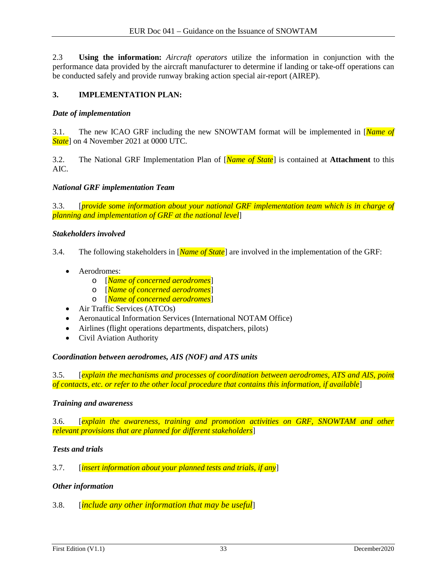2.3 **Using the information:** *Aircraft operators* utilize the information in conjunction with the performance data provided by the aircraft manufacturer to determine if landing or take-off operations can be conducted safely and provide runway braking action special air-report (AIREP).

#### **3. IMPLEMENTATION PLAN:**

#### *Date of implementation*

3.1. The new ICAO GRF including the new SNOWTAM format will be implemented in [*Name of State*] on 4 November 2021 at 0000 UTC.

3.2. The National GRF Implementation Plan of [*Name of State*] is contained at **Attachment** to this AIC.

#### *National GRF implementation Team*

3.3. [*provide some information about your national GRF implementation team which is in charge of planning and implementation of GRF at the national level*]

#### *Stakeholders involved*

- 3.4. The following stakeholders in [*Name of State*] are involved in the implementation of the GRF:
	- Aerodromes:
		- o [*Name of concerned aerodromes*]
		- o [*Name of concerned aerodromes*]
		- o [*Name of concerned aerodromes*]
	- Air Traffic Services (ATCOs)
	- Aeronautical Information Services (International NOTAM Office)
	- Airlines (flight operations departments, dispatchers, pilots)
	- Civil Aviation Authority

#### *Coordination between aerodromes, AIS (NOF) and ATS units*

3.5. [*explain the mechanisms and processes of coordination between aerodromes, ATS and AIS, point of contacts, etc. or refer to the other local procedure that contains this information, if available*]

#### *Training and awareness*

3.6. [*explain the awareness, training and promotion activities on GRF, SNOWTAM and other relevant provisions that are planned for different stakeholders*]

#### *Tests and trials*

3.7. [*insert information about your planned tests and trials, if any*]

#### *Other information*

3.8. [*include any other information that may be useful*]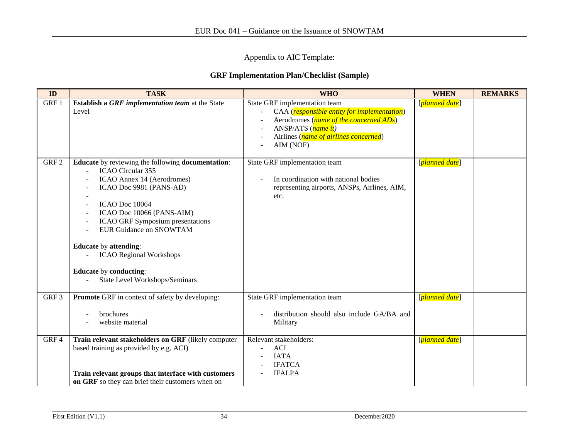Appendix to AIC Template:

#### **GRF Implementation Plan/Checklist (Sample)**

| ID               | <b>TASK</b>                                                                                                                                                                                                                                                                                                                                                                                                     | <b>WHO</b>                                                                                                                                                                                                                             | <b>WHEN</b>    | <b>REMARKS</b> |
|------------------|-----------------------------------------------------------------------------------------------------------------------------------------------------------------------------------------------------------------------------------------------------------------------------------------------------------------------------------------------------------------------------------------------------------------|----------------------------------------------------------------------------------------------------------------------------------------------------------------------------------------------------------------------------------------|----------------|----------------|
| GRF 1            | Establish a GRF implementation team at the State<br>Level                                                                                                                                                                                                                                                                                                                                                       | State GRF implementation team<br>CAA ( <i>responsible entity for implementation</i> )<br>Aerodromes ( <i>name of the concerned ADs</i> )<br>ANSP/ATS ( <i>name it</i> )<br>Airlines ( <i>name of airlines concerned</i> )<br>AIM (NOF) | [planned date] |                |
| GRF <sub>2</sub> | <b>Educate</b> by reviewing the following <b>documentation</b> :<br>ICAO Circular 355<br>ICAO Annex 14 (Aerodromes)<br>ICAO Doc 9981 (PANS-AD)<br>ICAO Doc 10064<br>ICAO Doc 10066 (PANS-AIM)<br><b>ICAO GRF Symposium presentations</b><br><b>EUR Guidance on SNOWTAM</b><br><b>Educate by attending:</b><br><b>ICAO Regional Workshops</b><br><b>Educate</b> by conducting:<br>State Level Workshops/Seminars | State GRF implementation team<br>In coordination with national bodies<br>representing airports, ANSPs, Airlines, AIM,<br>etc.                                                                                                          | [planned date] |                |
| GRF <sub>3</sub> | <b>Promote</b> GRF in context of safety by developing:<br>brochures<br>website material                                                                                                                                                                                                                                                                                                                         | State GRF implementation team<br>distribution should also include GA/BA and<br>Military                                                                                                                                                | [planned date] |                |
| GRF4             | Train relevant stakeholders on GRF (likely computer<br>based training as provided by e.g. ACI)<br>Train relevant groups that interface with customers<br>on GRF so they can brief their customers when on                                                                                                                                                                                                       | Relevant stakeholders:<br><b>ACI</b><br><b>IATA</b><br><b>IFATCA</b><br><b>IFALPA</b>                                                                                                                                                  | [planned date] |                |